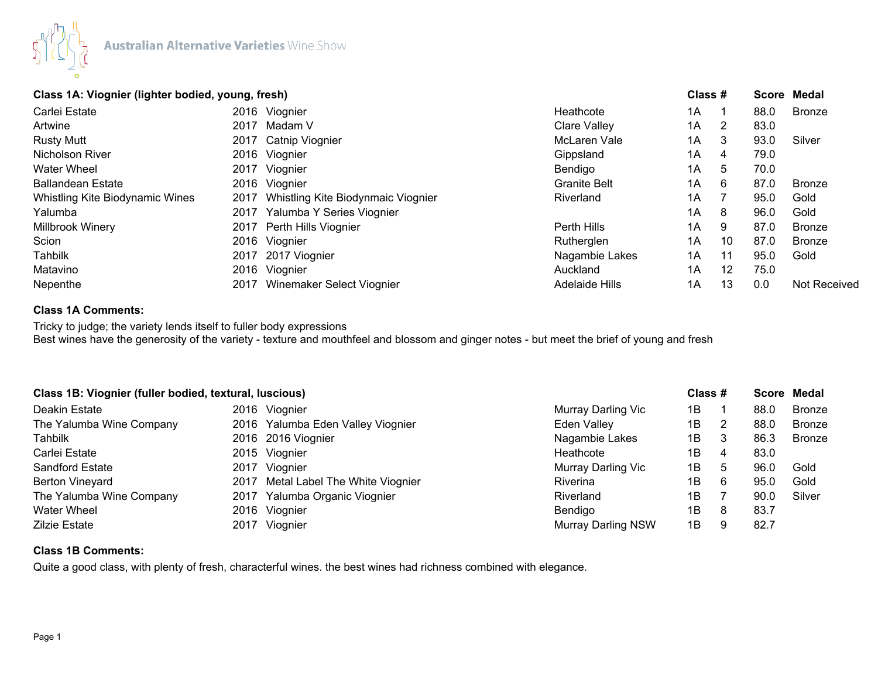

# **Class 1A: Viognier (lighter bodied, young, fresh) Class # Score Medal**

| Carlei Estate                   |      | 2016 Viognier                      | Heathcote             | 1A |    | 88.0 | <b>Bronze</b> |
|---------------------------------|------|------------------------------------|-----------------------|----|----|------|---------------|
| Artwine                         | 2017 | Madam V                            | Clare Valley          | 1A | 2  | 83.0 |               |
| <b>Rusty Mutt</b>               |      | 2017 Catnip Viognier               | McLaren Vale          | 1A | 3  | 93.0 | Silver        |
| Nicholson River                 |      | 2016 Viognier                      | Gippsland             | 1A | 4  | 79.0 |               |
| <b>Water Wheel</b>              |      | 2017 Viognier                      | Bendigo               | 1A | 5  | 70.0 |               |
| <b>Ballandean Estate</b>        |      | 2016 Viognier                      | <b>Granite Belt</b>   | 1A | 6  | 87.0 | <b>Bronze</b> |
| Whistling Kite Biodynamic Wines | 2017 | Whistling Kite Biodynmaic Viognier | Riverland             | 1A |    | 95.0 | Gold          |
| Yalumba                         | 2017 | Yalumba Y Series Viognier          |                       | 1A | 8  | 96.0 | Gold          |
| Millbrook Winery                |      | 2017 Perth Hills Viognier          | Perth Hills           | 1A | 9  | 87.0 | <b>Bronze</b> |
| Scion                           |      | 2016 Viognier                      | Rutherglen            | 1A | 10 | 87.0 | <b>Bronze</b> |
| <b>Tahbilk</b>                  |      | 2017 2017 Viognier                 | Nagambie Lakes        | 1A | 11 | 95.0 | Gold          |
| Matavino                        |      | 2016 Viognier                      | Auckland              | 1A | 12 | 75.0 |               |
| Nepenthe                        | 2017 | Winemaker Select Viognier          | <b>Adelaide Hills</b> | 1A | 13 | 0.0  | Not Received  |
|                                 |      |                                    |                       |    |    |      |               |

## **Class 1A Comments:**

Tricky to judge; the variety lends itself to fuller body expressions Best wines have the generosity of the variety - texture and mouthfeel and blossom and ginger notes - but meet the brief of young and fresh

| Class 1B: Viognier (fuller bodied, textural, luscious) |      |                                     |                           | Class # |   |      | Score Medal   |
|--------------------------------------------------------|------|-------------------------------------|---------------------------|---------|---|------|---------------|
| Deakin Estate                                          |      | 2016 Viognier                       | Murray Darling Vic        | 1Β      |   | 88.0 | <b>Bronze</b> |
| The Yalumba Wine Company                               |      | 2016 Yalumba Eden Valley Viognier   | Eden Valley               | 1Β      |   | 88.0 | <b>Bronze</b> |
| Tahbilk                                                |      | 2016 2016 Viognier                  | Nagambie Lakes            | 1В      |   | 86.3 | <b>Bronze</b> |
| Carlei Estate                                          |      | 2015 Viognier                       | Heathcote                 | 1В      | 4 | 83.0 |               |
| <b>Sandford Estate</b>                                 |      | 2017 Viognier                       | Murray Darling Vic        | 1В      | 5 | 96.0 | Gold          |
| <b>Berton Vineyard</b>                                 |      | 2017 Metal Label The White Viognier | <b>Riverina</b>           | 1Β      | 6 | 95.C | Gold          |
| The Yalumba Wine Company                               | 2017 | Yalumba Organic Viognier            | Riverland                 | 1Β      |   | 90.0 | Silver        |
| <b>Water Wheel</b>                                     |      | 2016 Viognier                       | Bendigo                   | 1В      | 8 | 83.7 |               |
| <b>Zilzie Estate</b>                                   |      | 2017 Viognier                       | <b>Murray Darling NSW</b> | 1B      |   | 82.7 |               |

## **Class 1B Comments:**

Quite a good class, with plenty of fresh, characterful wines. the best wines had richness combined with elegance.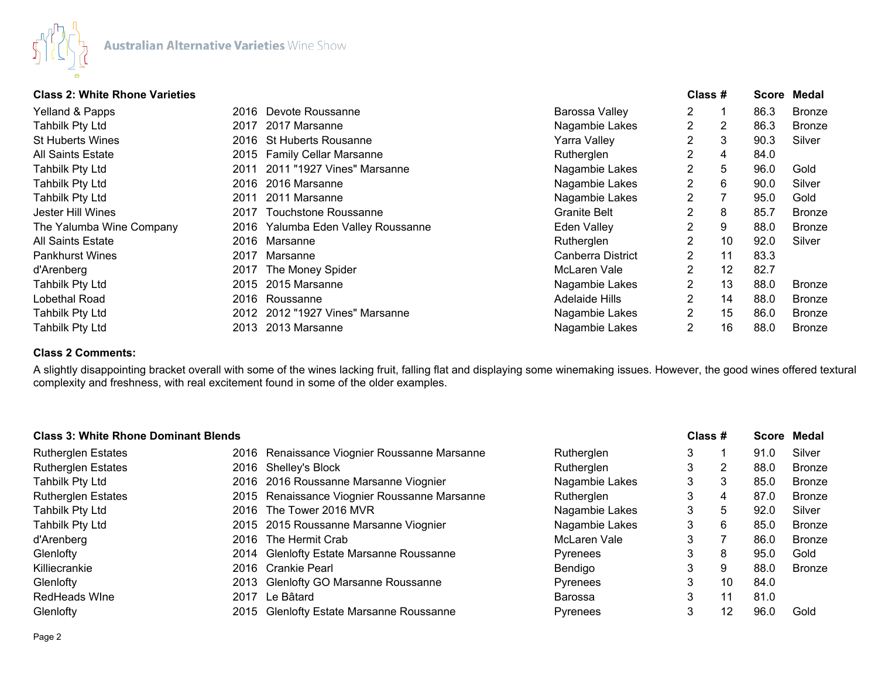

## **Class 2: White Rhone Varieties Class # Score Medal**

| 01000 E. TTIIKU INTOHU TUHUKUU |      |                                    |                       | יו טעוט        |    | ---- |               |  |
|--------------------------------|------|------------------------------------|-----------------------|----------------|----|------|---------------|--|
| Yelland & Papps                |      | 2016 Devote Roussanne              | Barossa Valley        | 2              |    | 86.3 | <b>Bronze</b> |  |
| Tahbilk Pty Ltd                | 2017 | 2017 Marsanne                      | Nagambie Lakes        | $\overline{2}$ | 2  | 86.3 | Bronze        |  |
| St Huberts Wines               |      | 2016 St Huberts Rousanne           | Yarra Valley          | 2              | 3  | 90.3 | Silver        |  |
| All Saints Estate              |      | 2015 Family Cellar Marsanne        | Rutherglen            | 2              | 4  | 84.0 |               |  |
| Tahbilk Pty Ltd                | 2011 | 2011 "1927 Vines" Marsanne         | Nagambie Lakes        | 2              | 5  | 96.0 | Gold          |  |
| Tahbilk Pty Ltd                |      | 2016 2016 Marsanne                 | Nagambie Lakes        | 2              | 6  | 90.0 | Silver        |  |
| Tahbilk Pty Ltd                | 2011 | 2011 Marsanne                      | Nagambie Lakes        | 2              |    | 95.0 | Gold          |  |
| Jester Hill Wines              | 2017 | Touchstone Roussanne               | <b>Granite Belt</b>   | $\overline{2}$ | 8  | 85.7 | <b>Bronze</b> |  |
| The Yalumba Wine Company       |      | 2016 Yalumba Eden Valley Roussanne | Eden Valley           | 2              | 9  | 88.0 | <b>Bronze</b> |  |
| All Saints Estate              |      | 2016 Marsanne                      | Rutherglen            | $\overline{2}$ | 10 | 92.0 | Silver        |  |
| Pankhurst Wines                | 2017 | Marsanne                           | Canberra District     | 2              | 11 | 83.3 |               |  |
| d'Arenberg                     | 2017 | The Money Spider                   | McLaren Vale          | 2              | 12 | 82.7 |               |  |
| Tahbilk Pty Ltd                | 2015 | 2015 Marsanne                      | Nagambie Lakes        | 2              | 13 | 88.0 | Bronze        |  |
| Lobethal Road                  |      | 2016 Roussanne                     | <b>Adelaide Hills</b> | $\overline{2}$ | 14 | 88.0 | <b>Bronze</b> |  |
| Tahbilk Pty Ltd                |      | 2012 2012 "1927 Vines" Marsanne    | Nagambie Lakes        | 2              | 15 | 86.0 | <b>Bronze</b> |  |
| Tahbilk Pty Ltd                | 2013 | 2013 Marsanne                      | Nagambie Lakes        | 2              | 16 | 88.0 | Bronze        |  |
|                                |      |                                    |                       |                |    |      |               |  |

## **Class 2 Comments:**

A slightly disappointing bracket overall with some of the wines lacking fruit, falling flat and displaying some winemaking issues. However, the good wines offered textural complexity and freshness, with real excitement found in some of the older examples.

| <b>Class 3: White Rhone Dominant Blends</b> |                                              |                 | Class # |    |      | Score Medal   |
|---------------------------------------------|----------------------------------------------|-----------------|---------|----|------|---------------|
| <b>Rutherglen Estates</b>                   | 2016 Renaissance Viognier Roussanne Marsanne | Rutherglen      | 3       |    | 91.0 | Silver        |
| <b>Rutherglen Estates</b>                   | 2016 Shelley's Block                         | Rutherglen      | 3       | 2  | 88.0 | <b>Bronze</b> |
| Tahbilk Pty Ltd                             | 2016 2016 Roussanne Marsanne Viognier        | Nagambie Lakes  | 3       | 3  | 85.0 | Bronze        |
| <b>Rutherglen Estates</b>                   | 2015 Renaissance Viognier Roussanne Marsanne | Rutherglen      | 3       | 4  | 87.0 | <b>Bronze</b> |
| Tahbilk Pty Ltd                             | 2016 The Tower 2016 MVR                      | Nagambie Lakes  | 3       | 5  | 92.0 | Silver        |
| Tahbilk Pty Ltd                             | 2015 2015 Roussanne Marsanne Viognier        | Nagambie Lakes  | 3       | 6  | 85.0 | <b>Bronze</b> |
| d'Arenberg                                  | 2016 The Hermit Crab                         | McLaren Vale    | 3       |    | 86.0 | <b>Bronze</b> |
| Glenlofty                                   | 2014 Glenlofty Estate Marsanne Roussanne     | <b>Pyrenees</b> | 3       | 8  | 95.0 | Gold          |
| Killiecrankie                               | 2016 Crankie Pearl                           | Bendigo         | 3       | 9  | 88.0 | <b>Bronze</b> |
| Glenlofty                                   | 2013 Glenlofty GO Marsanne Roussanne         | Pyrenees        | 3       | 10 | 84.0 |               |
| <b>RedHeads Wine</b>                        | 2017 Le Bâtard                               | <b>Barossa</b>  | 3       | 11 | 81.0 |               |
| Glenlofty                                   | 2015 Glenlofty Estate Marsanne Roussanne     | Pyrenees        | 3       | 12 | 96.0 | Gold          |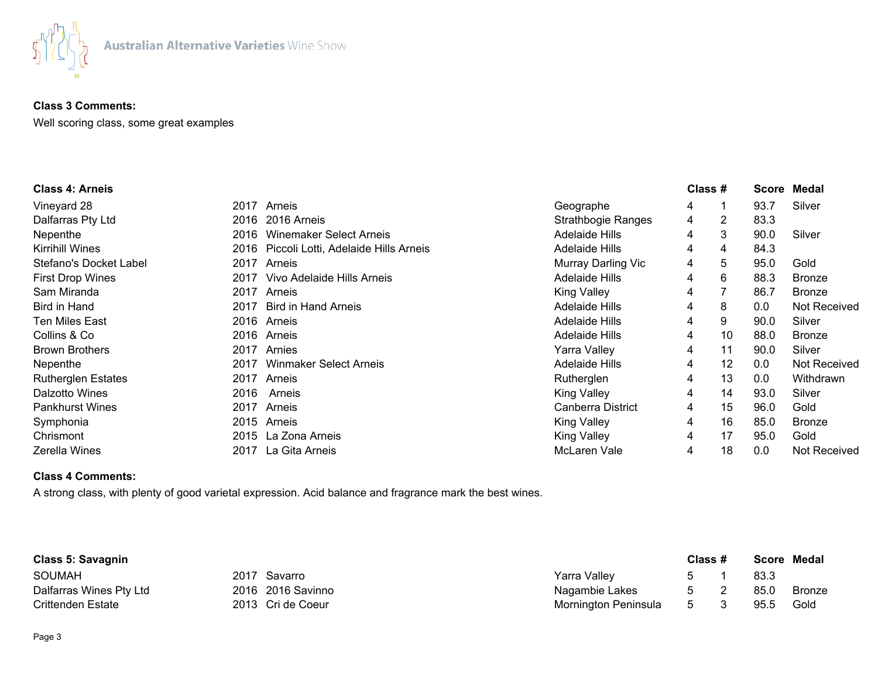

## **Class 3 Comments:**

Well scoring class, some great examples

| <b>Class 4: Arneis</b>    |      |                                      |                           | Class # |    |      | Score Medal         |
|---------------------------|------|--------------------------------------|---------------------------|---------|----|------|---------------------|
| Vineyard 28               | 2017 | Arneis                               | Geographe                 | 4       | 1  | 93.7 | Silver              |
| Dalfarras Pty Ltd         | 2016 | 2016 Arneis                          | <b>Strathbogie Ranges</b> | 4       | 2  | 83.3 |                     |
| Nepenthe                  | 2016 | Winemaker Select Arneis              | Adelaide Hills            | 4       | 3  | 90.0 | Silver              |
| Kirrihill Wines           | 2016 | Piccoli Lotti, Adelaide Hills Arneis | <b>Adelaide Hills</b>     | 4       | 4  | 84.3 |                     |
| Stefano's Docket Label    | 2017 | Arneis                               | Murray Darling Vic        | 4       | 5  | 95.0 | Gold                |
| <b>First Drop Wines</b>   | 2017 | Vivo Adelaide Hills Arneis           | Adelaide Hills            | 4       | 6  | 88.3 | <b>Bronze</b>       |
| Sam Miranda               | 2017 | Arneis                               | <b>King Valley</b>        | 4       |    | 86.7 | <b>Bronze</b>       |
| Bird in Hand              | 2017 | <b>Bird in Hand Arneis</b>           | Adelaide Hills            | 4       | 8  | 0.0  | <b>Not Received</b> |
| Ten Miles East            |      | 2016 Arneis                          | <b>Adelaide Hills</b>     | 4       | 9  | 90.0 | Silver              |
| Collins & Co              |      | 2016 Arneis                          | <b>Adelaide Hills</b>     | 4       | 10 | 88.0 | <b>Bronze</b>       |
| <b>Brown Brothers</b>     | 2017 | Arnies                               | Yarra Valley              | 4       | 11 | 90.0 | Silver              |
| Nepenthe                  | 2017 | <b>Winmaker Select Arneis</b>        | <b>Adelaide Hills</b>     | 4       | 12 | 0.0  | Not Received        |
| <b>Rutherglen Estates</b> | 2017 | Arneis                               | Rutherglen                | 4       | 13 | 0.0  | Withdrawn           |
| Dalzotto Wines            | 2016 | Arneis                               | <b>King Valley</b>        | 4       | 14 | 93.0 | Silver              |
| <b>Pankhurst Wines</b>    | 2017 | Arneis                               | Canberra District         | 4       | 15 | 96.0 | Gold                |
| Symphonia                 |      | 2015 Arneis                          | <b>King Valley</b>        | 4       | 16 | 85.0 | <b>Bronze</b>       |
| Chrismont                 |      | 2015 La Zona Arneis                  | <b>King Valley</b>        | 4       | 17 | 95.0 | Gold                |
| Zerella Wines             | 2017 | La Gita Arneis                       | McLaren Vale              | 4       | 18 | 0.0  | <b>Not Received</b> |

# **Class 4 Comments:**

A strong class, with plenty of good varietal expression. Acid balance and fragrance mark the best wines.

| <b>Class 5: Savagnin</b> |                   |                      | Class #       |      | Score Medal |
|--------------------------|-------------------|----------------------|---------------|------|-------------|
| <b>SOUMAH</b>            | 2017 Savarro      | Yarra Valley         | $\mathcal{L}$ | 83.3 |             |
| Dalfarras Wines Pty Ltd  | 2016 2016 Savinno | Nagambie Lakes       | . თ           | 85.0 | Bronze      |
| Crittenden Estate        | 2013 Cri de Coeur | Mornington Peninsula | 5             | 95.5 | Gold        |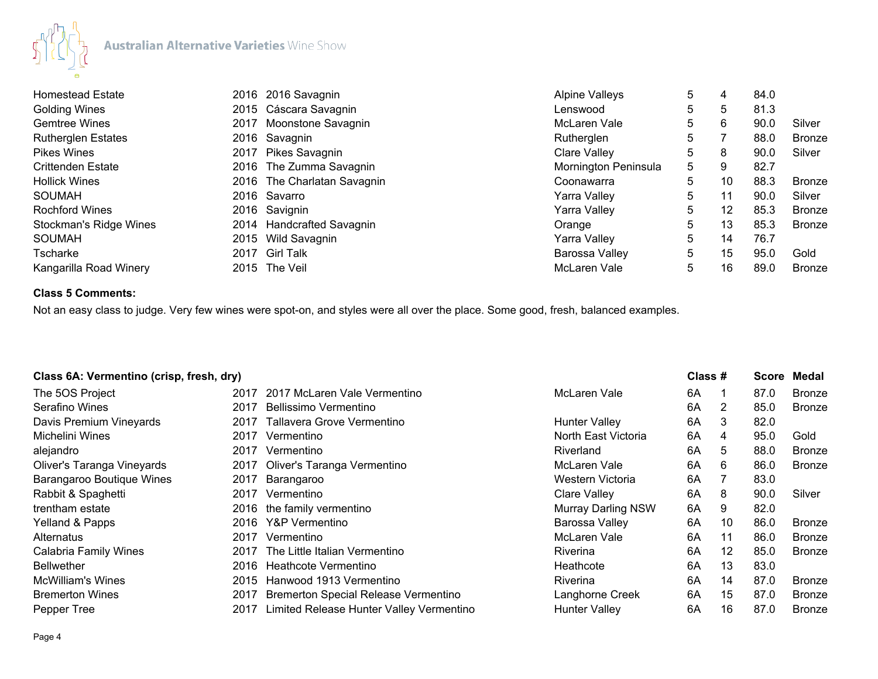

| <b>Homestead Estate</b>   | 2016 2016 Savagnin          | <b>Alpine Valleys</b> | 5  | 4  | 84.0 |               |
|---------------------------|-----------------------------|-----------------------|----|----|------|---------------|
| <b>Golding Wines</b>      | 2015 Cáscara Savagnin       | Lenswood              | 5. | 5  | 81.3 |               |
| <b>Gemtree Wines</b>      | 2017 Moonstone Savagnin     | McLaren Vale          | 5  | 6  | 90.0 | Silver        |
| <b>Rutherglen Estates</b> | 2016 Savagnin               | Rutherglen            | 5  |    | 88.0 | <b>Bronze</b> |
| <b>Pikes Wines</b>        | 2017 Pikes Savagnin         | <b>Clare Valley</b>   | 5. | 8  | 90.0 | Silver        |
| <b>Crittenden Estate</b>  | 2016 The Zumma Savagnin     | Mornington Peninsula  | 5  | 9  | 82.7 |               |
| <b>Hollick Wines</b>      | 2016 The Charlatan Savagnin | Coonawarra            | 5  | 10 | 88.3 | <b>Bronze</b> |
| <b>SOUMAH</b>             | 2016 Savarro                | Yarra Valley          | 5  | 11 | 90.0 | Silver        |
| <b>Rochford Wines</b>     | 2016 Savignin               | Yarra Valley          | 5  | 12 | 85.3 | <b>Bronze</b> |
| Stockman's Ridge Wines    | 2014 Handcrafted Savagnin   | Orange                | 5  | 13 | 85.3 | <b>Bronze</b> |
| <b>SOUMAH</b>             | 2015 Wild Savagnin          | Yarra Valley          | 5  | 14 | 76.7 |               |
| Tscharke                  | 2017 Girl Talk              | Barossa Valley        | 5  | 15 | 95.0 | Gold          |
| Kangarilla Road Winery    | 2015 The Veil               | McLaren Vale          | 5  | 16 | 89.0 | <b>Bronze</b> |

# **Class 5 Comments:**

Not an easy class to judge. Very few wines were spot-on, and styles were all over the place. Some good, fresh, balanced examples.

| Class 6A: Vermentino (crisp, fresh, dry) |      |                                             |                           | Class # |                 | <b>Score</b> | Medal         |
|------------------------------------------|------|---------------------------------------------|---------------------------|---------|-----------------|--------------|---------------|
| The 5OS Project                          |      | 2017 2017 McLaren Vale Vermentino           | McLaren Vale              | 6A      |                 | 87.0         | <b>Bronze</b> |
| Serafino Wines                           | 2017 | Bellissimo Vermentino                       |                           | 6A      | 2               | 85.0         | <b>Bronze</b> |
| Davis Premium Vineyards                  | 2017 | Tallavera Grove Vermentino                  | <b>Hunter Valley</b>      | 6A      | 3               | 82.0         |               |
| Michelini Wines                          | 2017 | Vermentino                                  | North East Victoria       | 6A      | 4               | 95.0         | Gold          |
| alejandro                                | 2017 | Vermentino                                  | Riverland                 | 6A      | 5.              | 88.0         | <b>Bronze</b> |
| Oliver's Taranga Vineyards               |      | 2017 Oliver's Taranga Vermentino            | McLaren Vale              | 6A      | 6               | 86.0         | <b>Bronze</b> |
| Barangaroo Boutique Wines                | 2017 | Barangaroo                                  | Western Victoria          | 6A      |                 | 83.0         |               |
| Rabbit & Spaghetti                       | 2017 | Vermentino                                  | Clare Valley              | 6A      | 8               | 90.0         | Silver        |
| trentham estate                          | 2016 | the family vermentino                       | <b>Murray Darling NSW</b> | 6A      | 9               | 82.0         |               |
| Yelland & Papps                          | 2016 | Y&P Vermentino                              | Barossa Valley            | 6A      | 10              | 86.0         | <b>Bronze</b> |
| Alternatus                               | 2017 | Vermentino                                  | McLaren Vale              | 6A      | 11              | 86.0         | <b>Bronze</b> |
| <b>Calabria Family Wines</b>             | 2017 | The Little Italian Vermentino               | Riverina                  | 6A      | 12 <sup>°</sup> | 85.0         | <b>Bronze</b> |
| <b>Bellwether</b>                        | 2016 | Heathcote Vermentino                        | Heathcote                 | 6A      | 13              | 83.0         |               |
| <b>McWilliam's Wines</b>                 | 2015 | Hanwood 1913 Vermentino                     | <b>Riverina</b>           | 6A      | 14              | 87.0         | <b>Bronze</b> |
| <b>Bremerton Wines</b>                   | 2017 | <b>Bremerton Special Release Vermentino</b> | Langhorne Creek           | 6A      | 15              | 87.0         | <b>Bronze</b> |
| Pepper Tree                              | 2017 | Limited Release Hunter Valley Vermentino    | <b>Hunter Valley</b>      | 6A      | 16              | 87.0         | <b>Bronze</b> |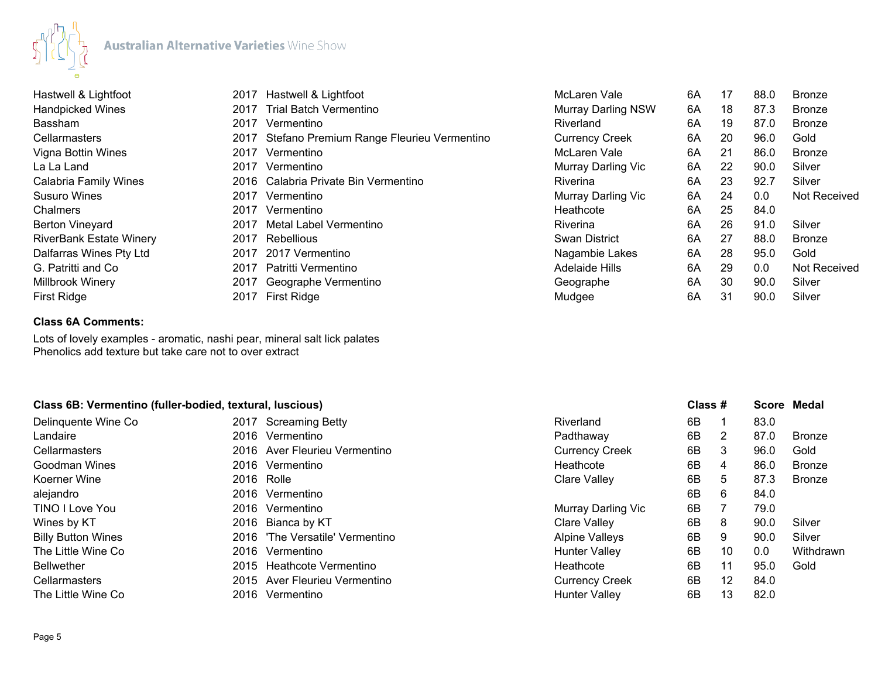

| Hastwell & Lightfoot           | 2017 | Hastwell & Lightfoot                      | McLaren Vale              | 6A | 17 | 88.0 | <b>Bronze</b>       |
|--------------------------------|------|-------------------------------------------|---------------------------|----|----|------|---------------------|
| <b>Handpicked Wines</b>        |      | 2017 Trial Batch Vermentino               | <b>Murray Darling NSW</b> | 6A | 18 | 87.3 | <b>Bronze</b>       |
| <b>Bassham</b>                 | 2017 | Vermentino                                | Riverland                 | 6A | 19 | 87.0 | <b>Bronze</b>       |
| <b>Cellarmasters</b>           | 2017 | Stefano Premium Range Fleurieu Vermentino | <b>Currency Creek</b>     | 6A | 20 | 96.0 | Gold                |
| Vigna Bottin Wines             | 2017 | Vermentino                                | McLaren Vale              | 6A | 21 | 86.0 | <b>Bronze</b>       |
| La La Land                     | 2017 | Vermentino                                | Murray Darling Vic        | 6A | 22 | 90.0 | Silver              |
| Calabria Family Wines          |      | 2016 Calabria Private Bin Vermentino      | Riverina                  | 6A | 23 | 92.7 | Silver              |
| <b>Susuro Wines</b>            | 2017 | Vermentino                                | Murray Darling Vic        | 6A | 24 | 0.0  | Not Received        |
| <b>Chalmers</b>                | 2017 | Vermentino                                | Heathcote                 | 6A | 25 | 84.0 |                     |
| <b>Berton Vineyard</b>         | 2017 | Metal Label Vermentino                    | Riverina                  | 6A | 26 | 91.0 | Silver              |
| <b>RiverBank Estate Winery</b> | 2017 | Rebellious                                | <b>Swan District</b>      | 6A | 27 | 88.0 | <b>Bronze</b>       |
| Dalfarras Wines Pty Ltd        | 2017 | 2017 Vermentino                           | Nagambie Lakes            | 6A | 28 | 95.0 | Gold                |
| G. Patritti and Co.            | 2017 | Patritti Vermentino                       | <b>Adelaide Hills</b>     | 6A | 29 | 0.0  | <b>Not Received</b> |
| Millbrook Winery               | 2017 | Geographe Vermentino                      | Geographe                 | 6A | 30 | 90.0 | Silver              |
| First Ridge                    |      | 2017 First Ridge                          | Mudgee                    | 6A | 31 | 90.0 | Silver              |

## **Class 6A Comments:**

Lots of lovely examples - aromatic, nashi pear, mineral salt lick palates Phenolics add texture but take care not to over extract

## **Class 6B: Vermentino (fuller-bodied, textural, luscious) Class # Score Medal**

| Delinguente Wine Co       | 2017 Screaming Betty            | Riverland             | 6B |                | 83.0 |               |
|---------------------------|---------------------------------|-----------------------|----|----------------|------|---------------|
| Landaire                  | 2016 Vermentino                 | Padthaway             | 6B | $\overline{2}$ | 87.0 | <b>Bronze</b> |
| <b>Cellarmasters</b>      | 2016 Aver Fleurieu Vermentino   | <b>Currency Creek</b> | 6B | 3              | 96.0 | Gold          |
| Goodman Wines             | 2016 Vermentino                 | Heathcote             | 6B | 4              | 86.0 | <b>Bronze</b> |
| Koerner Wine              | 2016 Rolle                      | Clare Valley          | 6В | 5              | 87.3 | Bronze        |
| alejandro                 | 2016 Vermentino                 |                       | 6B | 6              | 84.0 |               |
| TINO I Love You           | 2016 Vermentino                 | Murray Darling Vic    | 6B |                | 79.0 |               |
| Wines by KT               | 2016 Bianca by KT               | Clare Valley          | 6B | 8              | 90.0 | Silver        |
| <b>Billy Button Wines</b> | 2016 'The Versatile' Vermentino | Alpine Valleys        | 6B | 9              | 90.0 | Silver        |
| The Little Wine Co        | 2016 Vermentino                 | <b>Hunter Valley</b>  | 6B | 10             | 0.0  | Withdrawn     |
| Bellwether                | 2015 Heathcote Vermentino       | Heathcote             | 6B | 11             | 95.0 | Gold          |
| <b>Cellarmasters</b>      | 2015 Aver Fleurieu Vermentino   | <b>Currency Creek</b> | 6B | 12             | 84.0 |               |
| The Little Wine Co        | 2016 Vermentino                 | <b>Hunter Valley</b>  | 6B | 13             | 82.0 |               |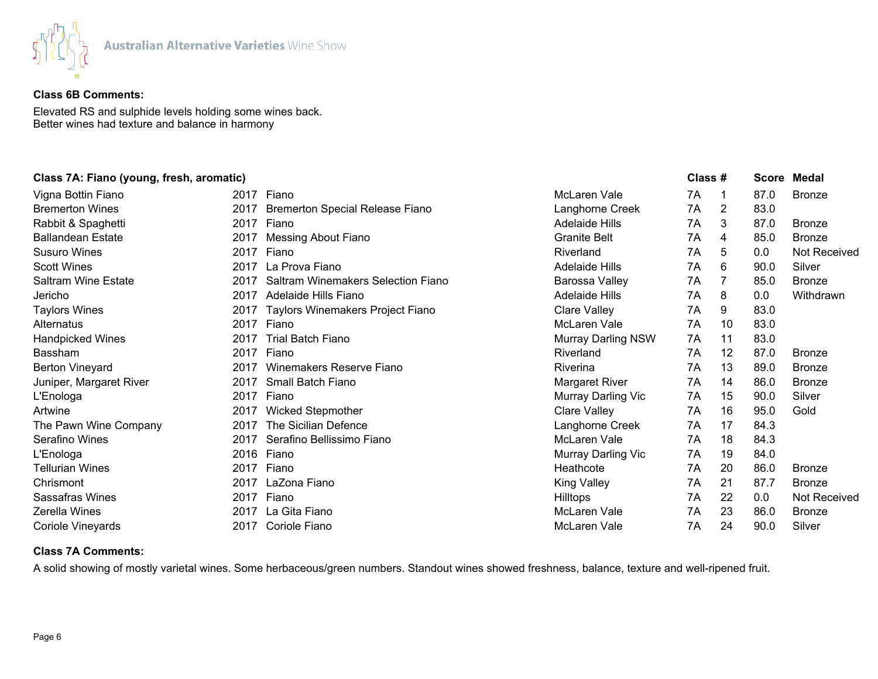

# **Class 6B Comments:**

Elevated RS and sulphide levels holding some wines back. Better wines had texture and balance in harmony

## **Class 7A: Fiano (young, fresh, aromatic) Class # Score Medal**

| Vigna Bottin Fiano         |      | 2017 Fiano                             | McLaren Vale              | 7A | -1 | 87.0 | <b>Bronze</b> |
|----------------------------|------|----------------------------------------|---------------------------|----|----|------|---------------|
| <b>Bremerton Wines</b>     | 2017 | <b>Bremerton Special Release Fiano</b> | Langhorne Creek           | 7A | 2  | 83.0 |               |
| Rabbit & Spaghetti         | 2017 | Fiano                                  | <b>Adelaide Hills</b>     | 7A | 3  | 87.0 | <b>Bronze</b> |
| <b>Ballandean Estate</b>   | 2017 | Messing About Fiano                    | <b>Granite Belt</b>       | 7A | 4  | 85.0 | <b>Bronze</b> |
| <b>Susuro Wines</b>        | 2017 | Fiano                                  | Riverland                 | 7A | 5  | 0.0  | Not Received  |
| <b>Scott Wines</b>         | 2017 | La Prova Fiano                         | <b>Adelaide Hills</b>     | 7A | 6  | 90.0 | Silver        |
| <b>Saltram Wine Estate</b> | 2017 | Saltram Winemakers Selection Fiano     | Barossa Valley            | 7A | 7  | 85.0 | <b>Bronze</b> |
| Jericho                    | 2017 | Adelaide Hills Fiano                   | <b>Adelaide Hills</b>     | 7A | 8  | 0.0  | Withdrawn     |
| <b>Taylors Wines</b>       |      | 2017 Taylors Winemakers Project Fiano  | <b>Clare Valley</b>       | 7A | 9  | 83.0 |               |
| <b>Alternatus</b>          |      | 2017 Fiano                             | McLaren Vale              | 7A | 10 | 83.0 |               |
| <b>Handpicked Wines</b>    | 2017 | Trial Batch Fiano                      | <b>Murray Darling NSW</b> | 7A | 11 | 83.0 |               |
| <b>Bassham</b>             | 2017 | Fiano                                  | Riverland                 | 7A | 12 | 87.0 | <b>Bronze</b> |
| <b>Berton Vineyard</b>     | 2017 | Winemakers Reserve Fiano               | Riverina                  | 7A | 13 | 89.0 | <b>Bronze</b> |
| Juniper, Margaret River    | 2017 | Small Batch Fiano                      | Margaret River            | 7A | 14 | 86.0 | <b>Bronze</b> |
| L'Enologa                  | 2017 | Fiano                                  | Murray Darling Vic        | 7A | 15 | 90.0 | Silver        |
| Artwine                    | 2017 | <b>Wicked Stepmother</b>               | Clare Valley              | 7A | 16 | 95.0 | Gold          |
| The Pawn Wine Company      | 2017 | The Sicilian Defence                   | Langhorne Creek           | 7A | 17 | 84.3 |               |
| Serafino Wines             | 2017 | Serafino Bellissimo Fiano              | McLaren Vale              | 7A | 18 | 84.3 |               |
| L'Enologa                  |      | 2016 Fiano                             | Murray Darling Vic        | 7A | 19 | 84.0 |               |
| <b>Tellurian Wines</b>     | 2017 | Fiano                                  | Heathcote                 | 7A | 20 | 86.0 | <b>Bronze</b> |
| Chrismont                  | 2017 | LaZona Fiano                           | <b>King Valley</b>        | 7A | 21 | 87.7 | <b>Bronze</b> |
| Sassafras Wines            | 2017 | Fiano                                  | Hilltops                  | 7A | 22 | 0.0  | Not Received  |
| <b>Zerella Wines</b>       | 2017 | La Gita Fiano                          | McLaren Vale              | 7A | 23 | 86.0 | <b>Bronze</b> |
| Coriole Vineyards          | 2017 | Coriole Fiano                          | McLaren Vale              | 7A | 24 | 90.0 | Silver        |
|                            |      |                                        |                           |    |    |      |               |

## **Class 7A Comments:**

A solid showing of mostly varietal wines. Some herbaceous/green numbers. Standout wines showed freshness, balance, texture and well-ripened fruit.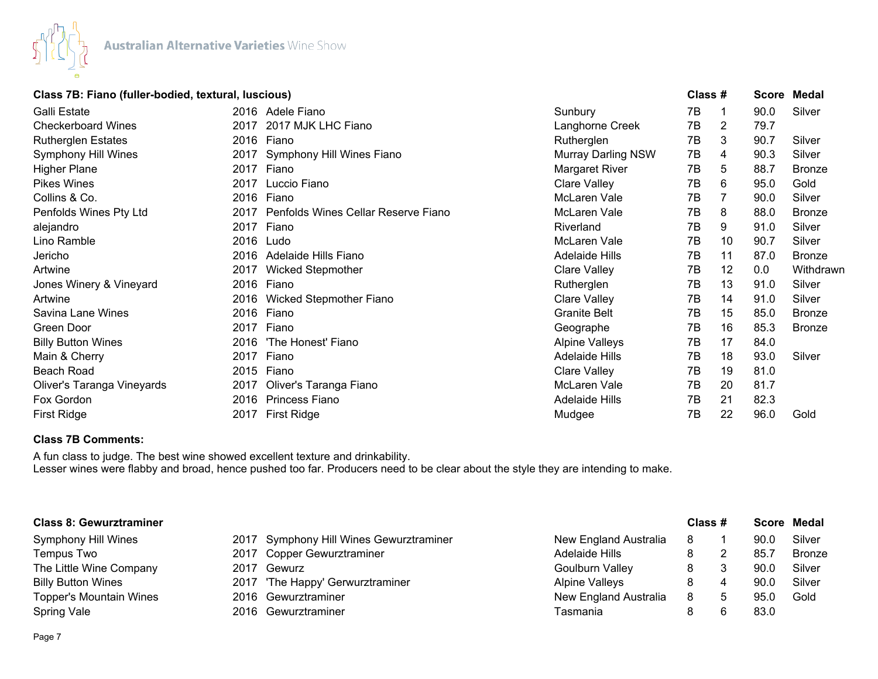

| Class 7B: Fiano (fuller-bodied, textural, luscious) | Class # | <b>Score Medal</b> |
|-----------------------------------------------------|---------|--------------------|
|-----------------------------------------------------|---------|--------------------|

| Galli Estate               | 2016 | Adele Fiano                         | Sunbury                   | 7B |    | 90.0 | Silver        |
|----------------------------|------|-------------------------------------|---------------------------|----|----|------|---------------|
| <b>Checkerboard Wines</b>  | 2017 | 2017 MJK LHC Fiano                  | Langhorne Creek           | 7B | 2  | 79.7 |               |
| <b>Rutherglen Estates</b>  | 2016 | Fiano                               | Rutherglen                | 7B | 3  | 90.7 | Silver        |
| <b>Symphony Hill Wines</b> | 2017 | Symphony Hill Wines Fiano           | <b>Murray Darling NSW</b> | 7B | 4  | 90.3 | Silver        |
| <b>Higher Plane</b>        | 2017 | Fiano                               | Margaret River            | 7B | 5  | 88.7 | <b>Bronze</b> |
| <b>Pikes Wines</b>         | 2017 | Luccio Fiano                        | <b>Clare Valley</b>       | 7B | 6  | 95.0 | Gold          |
| Collins & Co.              | 2016 | Fiano                               | McLaren Vale              | 7В |    | 90.0 | Silver        |
| Penfolds Wines Pty Ltd     | 2017 | Penfolds Wines Cellar Reserve Fiano | McLaren Vale              | 7В | 8  | 88.0 | <b>Bronze</b> |
| alejandro                  | 2017 | Fiano                               | Riverland                 | 7В | 9  | 91.0 | Silver        |
| Lino Ramble                | 2016 | Ludo                                | McLaren Vale              | 7В | 10 | 90.7 | Silver        |
| Jericho                    | 2016 | Adelaide Hills Fiano                | <b>Adelaide Hills</b>     | 7В | 11 | 87.0 | <b>Bronze</b> |
| Artwine                    | 2017 | <b>Wicked Stepmother</b>            | <b>Clare Valley</b>       | 7В | 12 | 0.0  | Withdrawn     |
| Jones Winery & Vineyard    | 2016 | Fiano                               | Rutherglen                | 7В | 13 | 91.0 | Silver        |
| Artwine                    | 2016 | Wicked Stepmother Fiano             | Clare Valley              | 7B | 14 | 91.0 | Silver        |
| Savina Lane Wines          | 2016 | Fiano                               | <b>Granite Belt</b>       | 7B | 15 | 85.0 | <b>Bronze</b> |
| Green Door                 | 2017 | Fiano                               | Geographe                 | 7В | 16 | 85.3 | <b>Bronze</b> |
| <b>Billy Button Wines</b>  | 2016 | 'The Honest' Fiano                  | <b>Alpine Valleys</b>     | 7B | 17 | 84.0 |               |
| Main & Cherry              | 2017 | Fiano                               | <b>Adelaide Hills</b>     | 7В | 18 | 93.0 | Silver        |
| Beach Road                 | 2015 | Fiano                               | <b>Clare Valley</b>       | 7B | 19 | 81.0 |               |
| Oliver's Taranga Vineyards | 2017 | Oliver's Taranga Fiano              | McLaren Vale              | 7В | 20 | 81.7 |               |
| Fox Gordon                 | 2016 | <b>Princess Fiano</b>               | <b>Adelaide Hills</b>     | 7В | 21 | 82.3 |               |
| <b>First Ridge</b>         | 2017 | <b>First Ridge</b>                  | Mudgee                    | 7B | 22 | 96.0 | Gold          |
|                            |      |                                     |                           |    |    |      |               |

## **Class 7B Comments:**

A fun class to judge. The best wine showed excellent texture and drinkability. Lesser wines were flabby and broad, hence pushed too far. Producers need to be clear about the style they are intending to make.

| <b>Class 8: Gewurztraminer</b> |  |                                         |                        | Class # |  |      | Score Medal   |  |
|--------------------------------|--|-----------------------------------------|------------------------|---------|--|------|---------------|--|
| <b>Symphony Hill Wines</b>     |  | 2017 Symphony Hill Wines Gewurztraminer | New England Australia  | 8       |  | 90.0 | Silver        |  |
| Tempus Two                     |  | 2017 Copper Gewurztraminer              | Adelaide Hills         | 8       |  | 85.7 | <b>Bronze</b> |  |
| The Little Wine Company        |  | 2017 Gewurz                             | <b>Goulburn Valley</b> | 8       |  | 90.0 | Silver        |  |
| <b>Billy Button Wines</b>      |  | 2017 'The Happy' Gerwurztraminer        | <b>Alpine Valleys</b>  |         |  | 90.0 | Silver        |  |
| <b>Topper's Mountain Wines</b> |  | 2016 Gewurztraminer                     | New England Australia  | 8       |  | 95.0 | Gold          |  |
| <b>Spring Vale</b>             |  | 2016 Gewurztraminer                     | Tasmania               |         |  | 83.0 |               |  |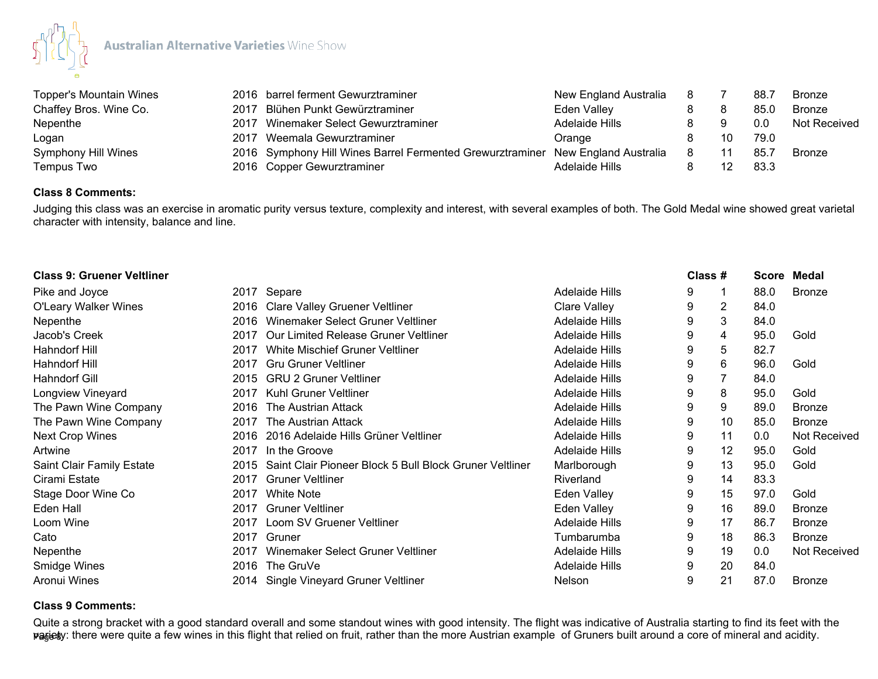

| Topper's Mountain Wines    | 2016 barrel ferment Gewurztraminer                                              | New England Australia | -8 |    | 88.7 | Bronze        |
|----------------------------|---------------------------------------------------------------------------------|-----------------------|----|----|------|---------------|
| Chaffey Bros. Wine Co.     | 2017 Blühen Punkt Gewürztraminer                                                | Eden Valley           |    |    | 85.0 | <b>Bronze</b> |
| Nepenthe                   | 2017 Winemaker Select Gewurztraminer                                            | Adelaide Hills        |    |    | 0.0  | Not Received  |
| Logan                      | 2017 Weemala Gewurztraminer                                                     | Orange                |    | 10 | 79.0 |               |
| <b>Symphony Hill Wines</b> | 2016 Symphony Hill Wines Barrel Fermented Grewurztraminer New England Australia |                       | 8  |    | 85.7 | Bronze        |
| Tempus Two                 | 2016 Copper Gewurztraminer                                                      | Adelaide Hills        |    |    | 83.3 |               |

## **Class 8 Comments:**

Judging this class was an exercise in aromatic purity versus texture, complexity and interest, with several examples of both. The Gold Medal wine showed great varietal character with intensity, balance and line.

| <b>Class 9: Gruener Veltliner</b> |      |                                                         |                       | Class # |    | Score Medal |               |
|-----------------------------------|------|---------------------------------------------------------|-----------------------|---------|----|-------------|---------------|
| Pike and Joyce                    |      | 2017 Separe                                             | <b>Adelaide Hills</b> | 9       |    | 88.0        | <b>Bronze</b> |
| <b>O'Leary Walker Wines</b>       |      | 2016 Clare Valley Gruener Veltliner                     | <b>Clare Valley</b>   | 9       | 2  | 84.0        |               |
| Nepenthe                          | 2016 | Winemaker Select Gruner Veltliner                       | <b>Adelaide Hills</b> | 9       | 3  | 84.0        |               |
| Jacob's Creek                     | 2017 | Our Limited Release Gruner Veltliner                    | Adelaide Hills        | 9       | 4  | 95.0        | Gold          |
| Hahndorf Hill                     | 2017 | White Mischief Gruner Veltliner                         | <b>Adelaide Hills</b> | 9       | 5  | 82.7        |               |
| Hahndorf Hill                     | 2017 | <b>Gru Gruner Veltliner</b>                             | <b>Adelaide Hills</b> | 9       | 6  | 96.0        | Gold          |
| <b>Hahndorf Gill</b>              | 2015 | <b>GRU 2 Gruner Veltliner</b>                           | <b>Adelaide Hills</b> | 9       | 7  | 84.0        |               |
| Longview Vineyard                 | 2017 | Kuhl Gruner Veltliner                                   | <b>Adelaide Hills</b> | 9       | 8  | 95.0        | Gold          |
| The Pawn Wine Company             | 2016 | The Austrian Attack                                     | <b>Adelaide Hills</b> | 9       | 9  | 89.0        | <b>Bronze</b> |
| The Pawn Wine Company             | 2017 | The Austrian Attack                                     | <b>Adelaide Hills</b> | 9       | 10 | 85.0        | <b>Bronze</b> |
| <b>Next Crop Wines</b>            | 2016 | 2016 Adelaide Hills Grüner Veltliner                    | <b>Adelaide Hills</b> | 9       | 11 | 0.0         | Not Received  |
| Artwine                           | 2017 | In the Groove                                           | <b>Adelaide Hills</b> | 9       | 12 | 95.0        | Gold          |
| Saint Clair Family Estate         | 2015 | Saint Clair Pioneer Block 5 Bull Block Gruner Veltliner | Marlborough           | 9       | 13 | 95.0        | Gold          |
| Cirami Estate                     | 2017 | <b>Gruner Veltliner</b>                                 | Riverland             | 9       | 14 | 83.3        |               |
| Stage Door Wine Co                | 2017 | <b>White Note</b>                                       | Eden Valley           | 9       | 15 | 97.0        | Gold          |
| Eden Hall                         | 2017 | <b>Gruner Veltliner</b>                                 | <b>Eden Valley</b>    | 9       | 16 | 89.0        | <b>Bronze</b> |
| Loom Wine                         | 2017 | Loom SV Gruener Veltliner                               | <b>Adelaide Hills</b> | 9       | 17 | 86.7        | <b>Bronze</b> |
| Cato                              | 2017 | Gruner                                                  | Tumbarumba            | 9       | 18 | 86.3        | <b>Bronze</b> |
| Nepenthe                          | 2017 | Winemaker Select Gruner Veltliner                       | <b>Adelaide Hills</b> | 9       | 19 | 0.0         | Not Received  |
| Smidge Wines                      | 2016 | The GruVe                                               | <b>Adelaide Hills</b> | 9       | 20 | 84.0        |               |
| Aronui Wines                      |      | 2014 Single Vineyard Gruner Veltliner                   | Nelson                | 9       | 21 | 87.0        | <b>Bronze</b> |

#### **Class 9 Comments:**

**pa<sub>§</sub>iesy**: there were quite a few wines in this flight that relied on fruit, rather than the more Austrian example of Gruners built around a core of mineral and acidity. Quite a strong bracket with a good standard overall and some standout wines with good intensity. The flight was indicative of Australia starting to find its feet with the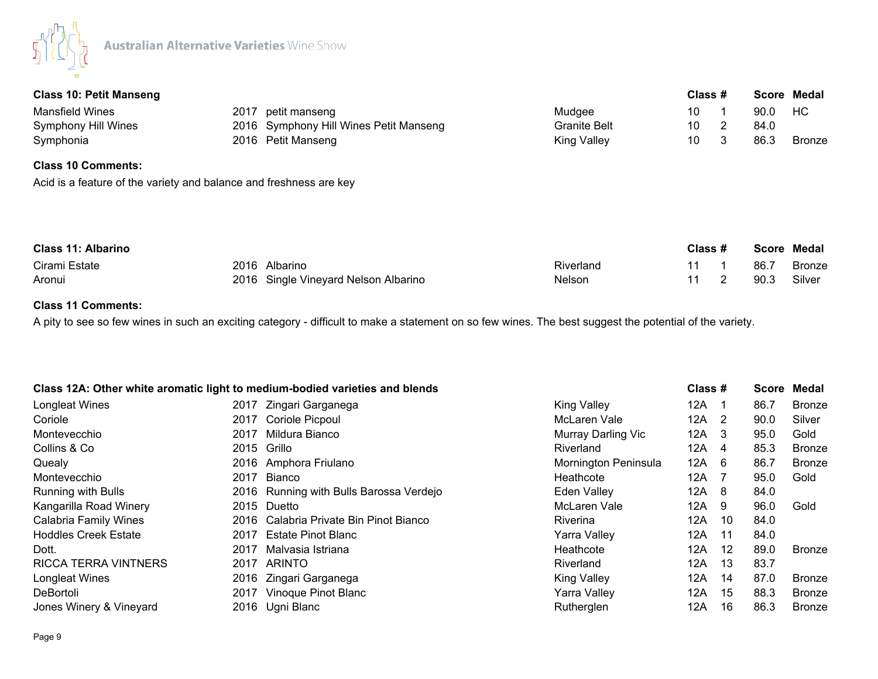

| <b>Class 10: Petit Manseng</b>                                                                  |      |                                        |                     | Class # |      | Score Medal   |
|-------------------------------------------------------------------------------------------------|------|----------------------------------------|---------------------|---------|------|---------------|
| <b>Mansfield Wines</b>                                                                          | 2017 | petit manseng                          | Mudgee              | 10      | 90.0 | HC            |
| <b>Symphony Hill Wines</b>                                                                      |      | 2016 Symphony Hill Wines Petit Manseng | <b>Granite Belt</b> | 10      | 84.0 |               |
| Symphonia                                                                                       |      | 2016 Petit Manseng                     | <b>King Valley</b>  | 10      | 86.3 | <b>Bronze</b> |
| <b>Class 10 Comments:</b><br>Acid is a feature of the variety and balance and freshness are key |      |                                        |                     |         |      |               |

| <b>Class 11: Albarino</b> |  |                                      |               | Class # |      | Score Medal   |  |
|---------------------------|--|--------------------------------------|---------------|---------|------|---------------|--|
| Cirami Estate             |  | 2016 Albarino                        | Riverland     |         | 86.7 | <b>Bronze</b> |  |
| Aronui                    |  | 2016 Single Vineyard Nelson Albarino | <b>Nelson</b> |         | 90.3 | Silver        |  |

# **Class 11 Comments:**

A pity to see so few wines in such an exciting category - difficult to make a statement on so few wines. The best suggest the potential of the variety.

| Class 12A: Other white aromatic light to medium-bodied varieties and blends |      |                                         |                      | Class # |                | Score | Medal         |
|-----------------------------------------------------------------------------|------|-----------------------------------------|----------------------|---------|----------------|-------|---------------|
| <b>Longleat Wines</b>                                                       |      | 2017 Zingari Garganega                  | <b>King Valley</b>   | 12A     | - 1            | 86.7  | <b>Bronze</b> |
| Coriole                                                                     | 2017 | Coriole Picpoul                         | McLaren Vale         | 12A     | $\overline{2}$ | 90.0  | Silver        |
| Montevecchio                                                                | 2017 | Mildura Bianco                          | Murray Darling Vic   | 12A     | - 3            | 95.0  | Gold          |
| Collins & Co                                                                |      | 2015 Grillo                             | Riverland            | 12A     | -4             | 85.3  | <b>Bronze</b> |
| Quealy                                                                      | 2016 | Amphora Friulano                        | Mornington Peninsula | 12A     | - 6            | 86.7  | <b>Bronze</b> |
| Montevecchio                                                                | 2017 | Bianco                                  | Heathcote            | 12A     |                | 95.0  | Gold          |
| <b>Running with Bulls</b>                                                   |      | 2016 Running with Bulls Barossa Verdejo | Eden Valley          | 12A     | - 8            | 84.0  |               |
| Kangarilla Road Winery                                                      |      | 2015 Duetto                             | McLaren Vale         | 12A     | -9             | 96.0  | Gold          |
| <b>Calabria Family Wines</b>                                                |      | 2016 Calabria Private Bin Pinot Bianco  | <b>Riverina</b>      | 12A     | 10             | 84.0  |               |
| <b>Hoddles Creek Estate</b>                                                 | 2017 | Estate Pinot Blanc                      | Yarra Valley         | 12A     | 11             | 84.0  |               |
| Dott.                                                                       | 2017 | Malvasia Istriana                       | Heathcote            | 12A     | 12             | 89.0  | <b>Bronze</b> |
| <b>RICCA TERRA VINTNERS</b>                                                 | 2017 | ARINTO                                  | Riverland            | 12A     | 13             | 83.7  |               |
| Longleat Wines                                                              |      | 2016 Zingari Garganega                  | <b>King Valley</b>   | 12A     | 14             | 87.0  | <b>Bronze</b> |
| DeBortoli                                                                   | 2017 | Vinoque Pinot Blanc                     | <b>Yarra Valley</b>  | 12A     | 15             | 88.3  | <b>Bronze</b> |
| Jones Winery & Vineyard                                                     |      | 2016 Ugni Blanc                         | Rutherglen           | 12A     | 16             | 86.3  | <b>Bronze</b> |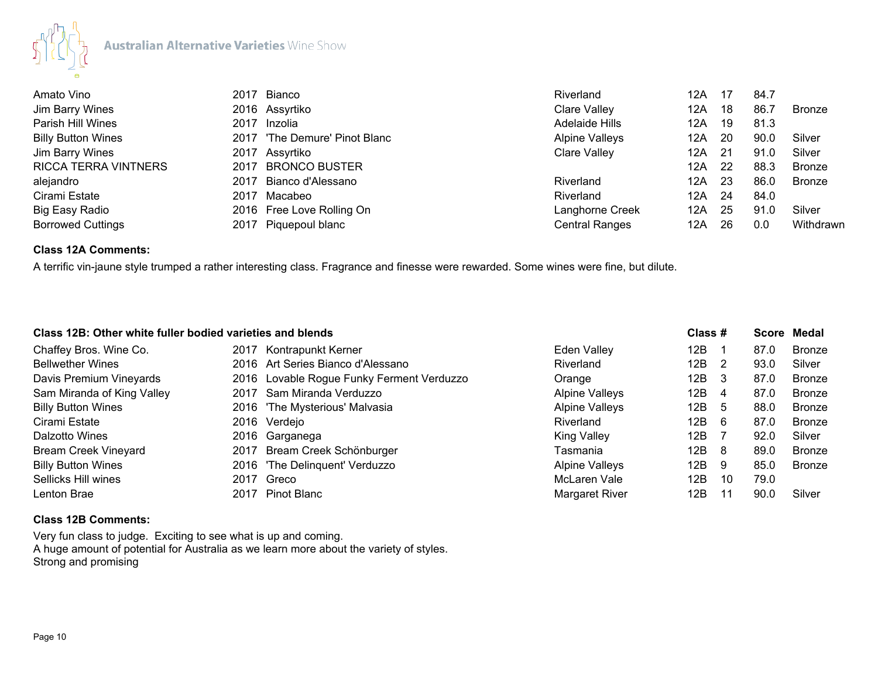

| Amato Vino                  | 2017 Bianco                   | Riverland             | 12A |      | 84.7 |           |
|-----------------------------|-------------------------------|-----------------------|-----|------|------|-----------|
| Jim Barry Wines             | 2016 Assyrtiko                | Clare Valley          | 12A | -18  | 86.7 | Bronze    |
| Parish Hill Wines           | 2017 Inzolia                  | Adelaide Hills        | 12A | - 19 | 81.3 |           |
| <b>Billy Button Wines</b>   | 2017 'The Demure' Pinot Blanc | <b>Alpine Valleys</b> | 12A | - 20 | 90.0 | Silver    |
| Jim Barry Wines             | 2017 Assyrtiko                | Clare Valley          | 12A | - 21 | 91.0 | Silver    |
| <b>RICCA TERRA VINTNERS</b> | 2017 BRONCO BUSTER            |                       | 12A | -22  | 88.3 | Bronze    |
| alejandro                   | 2017 Bianco d'Alessano        | Riverland             | 12A | - 23 | 86.0 | Bronze    |
| Cirami Estate               | 2017 Macabeo                  | Riverland             | 12A | -24  | 84.0 |           |
| Big Easy Radio              | 2016 Free Love Rolling On     | Langhorne Creek       | 12A | -25  | 91.0 | Silver    |
| <b>Borrowed Cuttings</b>    | 2017 Piquepoul blanc          | <b>Central Ranges</b> | 12A | -26  | 0.0  | Withdrawn |

## **Class 12A Comments:**

A terrific vin-jaune style trumped a rather interesting class. Fragrance and finesse were rewarded. Some wines were fine, but dilute.

|                                | Class 12B: Other white fuller bodied varieties and blends |                       | Class # |     |      | Score Medal   |
|--------------------------------|-----------------------------------------------------------|-----------------------|---------|-----|------|---------------|
| Chaffey Bros. Wine Co.<br>2017 | Kontrapunkt Kerner                                        | <b>Eden Valley</b>    | 12B     |     | 87.0 | <b>Bronze</b> |
| <b>Bellwether Wines</b>        | 2016 Art Series Bianco d'Alessano                         | Riverland             | 12B     | - 2 | 93.0 | Silver        |
| Davis Premium Vineyards        | 2016 Lovable Rogue Funky Ferment Verduzzo                 | Orange                | 12B     | - 3 | 87.0 | <b>Bronze</b> |
| Sam Miranda of King Valley     | 2017 Sam Miranda Verduzzo                                 | <b>Alpine Valleys</b> | 12B     | 4   | 87.0 | <b>Bronze</b> |
| <b>Billy Button Wines</b>      | 2016 'The Mysterious' Malvasia                            | <b>Alpine Valleys</b> | 12B     | -5  | 88.0 | Bronze        |
| Cirami Estate                  | 2016 Verdejo                                              | Riverland             | 12B     | - 6 | 87.0 | Bronze        |
| Dalzotto Wines                 | 2016 Garganega                                            | <b>King Valley</b>    | 12B     |     | 92.0 | Silver        |
| <b>Bream Creek Vineyard</b>    | 2017 Bream Creek Schönburger                              | Tasmania              | 12B     | - 8 | 89.0 | <b>Bronze</b> |
| <b>Billy Button Wines</b>      | 2016 'The Delinquent' Verduzzo                            | <b>Alpine Valleys</b> | 12B     | 9   | 85.0 | Bronze        |
| Sellicks Hill wines            | 2017 Greco                                                | McLaren Vale          | 12B     | 10  | 79.0 |               |
| Lenton Brae<br>2017            | Pinot Blanc                                               | Margaret River        | 12B     | 11  | 90.0 | Silver        |

## **Class 12B Comments:**

Very fun class to judge. Exciting to see what is up and coming. A huge amount of potential for Australia as we learn more about the variety of styles. Strong and promising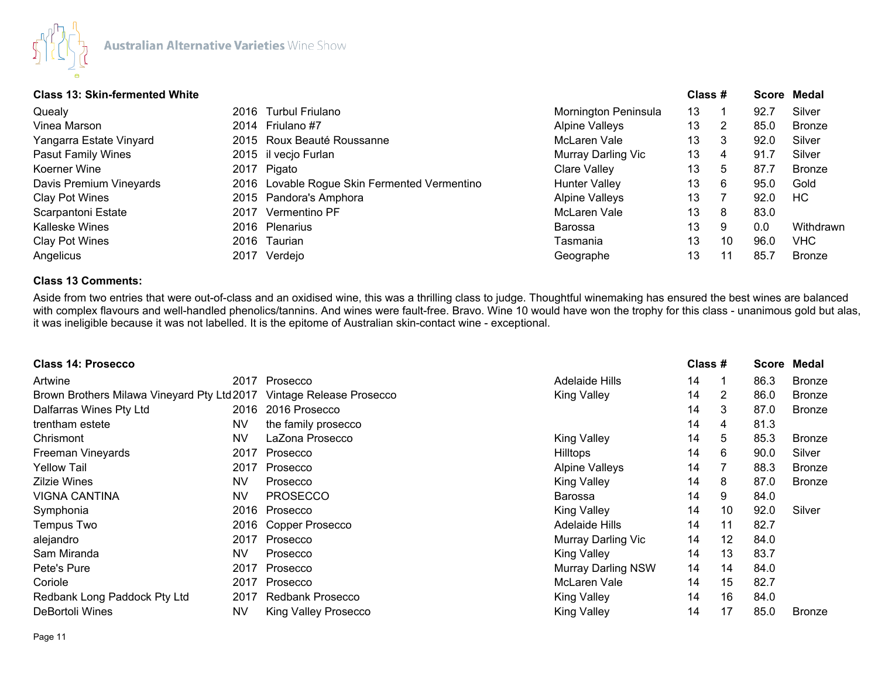

# **Class 13: Skin-fermented White Class # Score Medal**

| сіазэ тэ. экіп-іеппеніей Willie |      |                                              |                       | $\mathsf{u}$ iass $\bm{\pi}$ |    |      | <b>OCUIE MEUAI</b> |
|---------------------------------|------|----------------------------------------------|-----------------------|------------------------------|----|------|--------------------|
| Quealy                          |      | 2016 Turbul Friulano                         | Mornington Peninsula  | 13                           |    | 92.7 | Silver             |
| Vinea Marson                    |      | 2014 Friulano #7                             | <b>Alpine Valleys</b> | 13                           | 2  | 85.0 | <b>Bronze</b>      |
| Yangarra Estate Vinyard         |      | 2015 Roux Beauté Roussanne                   | McLaren Vale          | 13                           | 3  | 92.0 | Silver             |
| <b>Pasut Family Wines</b>       |      | 2015 il vecjo Furlan                         | Murray Darling Vic    | 13                           | 4  | 91.7 | Silver             |
| Koerner Wine                    |      | 2017 Pigato                                  | <b>Clare Valley</b>   | 13                           | 5  | 87.7 | <b>Bronze</b>      |
| Davis Premium Vineyards         |      | 2016 Lovable Rogue Skin Fermented Vermentino | Hunter Valley         | 13                           | 6  | 95.0 | Gold               |
| Clay Pot Wines                  |      | 2015 Pandora's Amphora                       | <b>Alpine Valleys</b> | 13                           |    | 92.0 | HC.                |
| Scarpantoni Estate              | 2017 | Vermentino PF                                | McLaren Vale          | 13                           | 8  | 83.0 |                    |
| Kalleske Wines                  |      | 2016 Plenarius                               | Barossa               | 13                           | 9  | 0.0  | Withdrawn          |
| Clay Pot Wines                  |      | 2016 Taurian                                 | Tasmania              | 13                           | 10 | 96.0 | <b>VHC</b>         |
| Angelicus                       | 2017 | Verdejo                                      | Geographe             | 13                           | 11 | 85.7 | <b>Bronze</b>      |
|                                 |      |                                              |                       |                              |    |      |                    |

## **Class 13 Comments:**

Aside from two entries that were out-of-class and an oxidised wine, this was a thrilling class to judge. Thoughtful winemaking has ensured the best wines are balanced with complex flavours and well-handled phenolics/tannins. And wines were fault-free. Bravo. Wine 10 would have won the trophy for this class - unanimous gold but alas, it was ineligible because it was not labelled. It is the epitome of Australian skin-contact wine - exceptional.

| <b>Class 14: Prosecco</b>                  |           |                             |                           | Class # |    | Score | Medal         |
|--------------------------------------------|-----------|-----------------------------|---------------------------|---------|----|-------|---------------|
| Artwine                                    |           | 2017 Prosecco               | Adelaide Hills            | 14      |    | 86.3  | <b>Bronze</b> |
| Brown Brothers Milawa Vineyard Pty Ltd2017 |           | Vintage Release Prosecco    | King Valley               | 14      | 2  | 86.0  | <b>Bronze</b> |
| Dalfarras Wines Pty Ltd                    |           | 2016 2016 Prosecco          |                           | 14      | 3  | 87.0  | <b>Bronze</b> |
| trentham estete                            | <b>NV</b> | the family prosecco         |                           | 14      | 4  | 81.3  |               |
| Chrismont                                  | NV        | LaZona Prosecco             | <b>King Valley</b>        | 14      | 5  | 85.3  | <b>Bronze</b> |
| Freeman Vineyards                          | 2017      | Prosecco                    | <b>Hilltops</b>           | 14      | 6  | 90.0  | Silver        |
| <b>Yellow Tail</b>                         | 2017      | Prosecco                    | <b>Alpine Valleys</b>     | 14      |    | 88.3  | <b>Bronze</b> |
| <b>Zilzie Wines</b>                        | <b>NV</b> | Prosecco                    | <b>King Valley</b>        | 14      | 8  | 87.0  | <b>Bronze</b> |
| <b>VIGNA CANTINA</b>                       | <b>NV</b> | <b>PROSECCO</b>             | <b>Barossa</b>            | 14      | 9  | 84.0  |               |
| Symphonia                                  | 2016      | Prosecco                    | King Valley               | 14      | 10 | 92.0  | Silver        |
| Tempus Two                                 |           | 2016 Copper Prosecco        | Adelaide Hills            | 14      | 11 | 82.7  |               |
| alejandro                                  | 2017      | Prosecco                    | Murray Darling Vic        | 14      | 12 | 84.0  |               |
| Sam Miranda                                | <b>NV</b> | Prosecco                    | <b>King Valley</b>        | 14      | 13 | 83.7  |               |
| Pete's Pure                                | 2017      | Prosecco                    | <b>Murray Darling NSW</b> | 14      | 14 | 84.0  |               |
| Coriole                                    | 2017      | Prosecco                    | McLaren Vale              | 14      | 15 | 82.7  |               |
| Redbank Long Paddock Pty Ltd               | 2017      | <b>Redbank Prosecco</b>     | <b>King Valley</b>        | 14      | 16 | 84.0  |               |
| DeBortoli Wines                            | NV        | <b>King Valley Prosecco</b> | <b>King Valley</b>        | 14      | 17 | 85.0  | <b>Bronze</b> |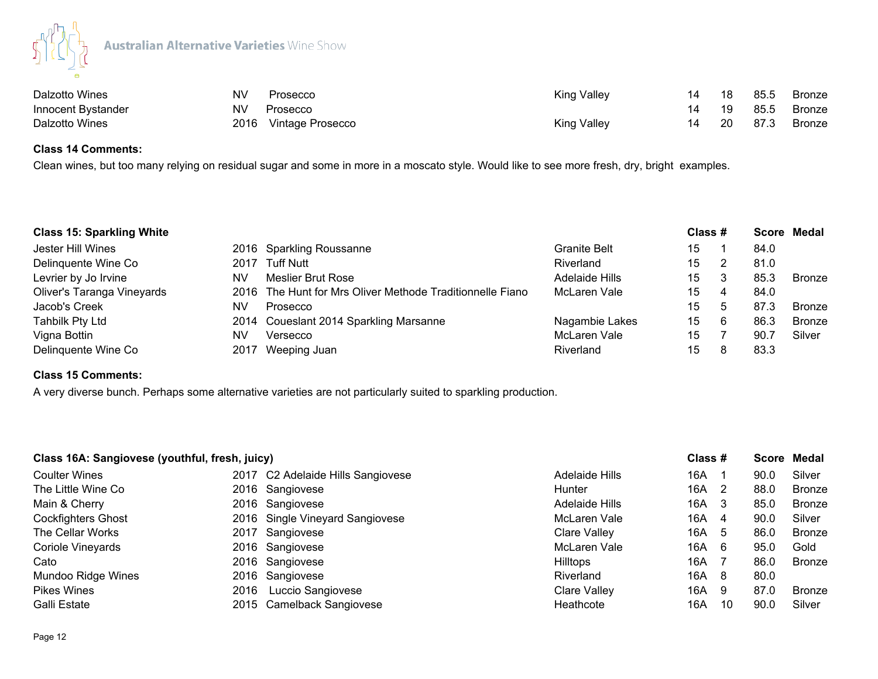

| Dalzotto Wines     | NV | Prosecco              | King Valley |    | - 18      | 85.5 | <b>Bronze</b> |
|--------------------|----|-----------------------|-------------|----|-----------|------|---------------|
| Innocent Bystander | NV | Prosecco              |             | 14 | - 19      | 85.5 | Bronze        |
| Dalzotto Wines     |    | 2016 Vintage Prosecco | King Valley |    | <b>20</b> | 87.3 | Bronze        |

# **Class 14 Comments:**

Clean wines, but too many relying on residual sugar and some in more in a moscato style. Would like to see more fresh, dry, bright examples.

| <b>Class 15: Sparkling White</b> |    |                                                           |                     | Class # |   |      | Score Medal   |
|----------------------------------|----|-----------------------------------------------------------|---------------------|---------|---|------|---------------|
| Jester Hill Wines                |    | 2016 Sparkling Roussanne                                  | <b>Granite Belt</b> | 15      |   | 84.0 |               |
| Delinquente Wine Co              |    | 2017 Tuff Nutt                                            | Riverland           | 15      |   | 81.0 |               |
| Levrier by Jo Irvine             | NV | Meslier Brut Rose                                         | Adelaide Hills      | 15      | 3 | 85.3 | Bronze        |
| Oliver's Taranga Vineyards       |    | 2016 The Hunt for Mrs Oliver Methode Traditionnelle Fiano | McLaren Vale        | 15      | 4 | 84.0 |               |
| Jacob's Creek                    | NV | Prosecco                                                  |                     | 15      | 5 | 87.3 | <b>Bronze</b> |
| <b>Tahbilk Pty Ltd</b>           |    | 2014 Coueslant 2014 Sparkling Marsanne                    | Nagambie Lakes      | 15      | 6 | 86.3 | Bronze        |
| Vigna Bottin                     | NV | Versecco                                                  | McLaren Vale        | 15      |   | 90.7 | Silver        |
| Delinquente Wine Co              |    | 2017 Weeping Juan                                         | Riverland           | 15      |   | 83.3 |               |

## **Class 15 Comments:**

A very diverse bunch. Perhaps some alternative varieties are not particularly suited to sparkling production.

| Class 16A: Sangiovese (youthful, fresh, juicy) |      |                                   |                     | Class # |                |      | Score Medal   |
|------------------------------------------------|------|-----------------------------------|---------------------|---------|----------------|------|---------------|
| <b>Coulter Wines</b>                           |      | 2017 C2 Adelaide Hills Sangiovese | Adelaide Hills      | 16A     |                | 90.0 | Silver        |
| The Little Wine Co                             |      | 2016 Sangiovese                   | <b>Hunter</b>       | 16A     | $\overline{2}$ | 88.0 | <b>Bronze</b> |
| Main & Cherry                                  |      | 2016 Sangiovese                   | Adelaide Hills      | 16A     | - 3            | 85.0 | Bronze        |
| <b>Cockfighters Ghost</b>                      |      | 2016 Single Vineyard Sangiovese   | McLaren Vale        | 16A     | -4             | 90.0 | Silver        |
| The Cellar Works                               |      | 2017 Sangiovese                   | <b>Clare Valley</b> | 16A     | -5             | 86.0 | <b>Bronze</b> |
| <b>Coriole Vineyards</b>                       |      | 2016 Sangiovese                   | McLaren Vale        | 16A     | - 6            | 95.0 | Gold          |
| Cato                                           |      | 2016 Sangiovese                   | <b>Hilltops</b>     | 16A     |                | 86.0 | <b>Bronze</b> |
| Mundoo Ridge Wines                             |      | 2016 Sangiovese                   | Riverland           | 16A     | - 8            | 80.0 |               |
| <b>Pikes Wines</b>                             | 2016 | Luccio Sangiovese                 | <b>Clare Valley</b> | 16A     | - 9            | 87.0 | <b>Bronze</b> |
| Galli Estate                                   |      | 2015 Camelback Sangiovese         | Heathcote           | 16A     | 10             | 90.0 | Silver        |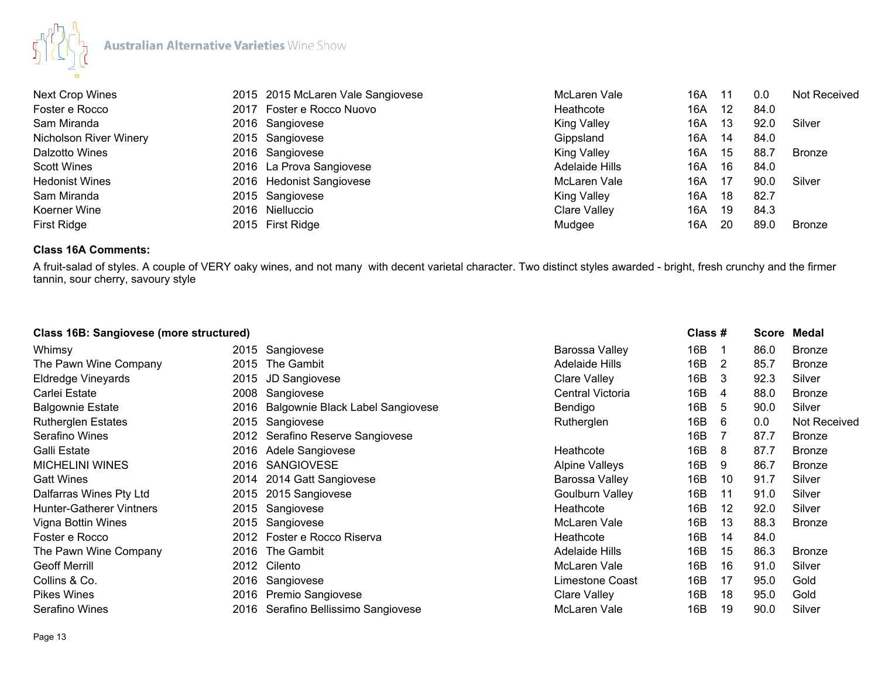

| <b>Next Crop Wines</b> | 2015 2015 McLaren Vale Sangiovese | McLaren Vale        | 16A | 11 | 0.0  | Not Received |
|------------------------|-----------------------------------|---------------------|-----|----|------|--------------|
| Foster e Rocco         | 2017 Foster e Rocco Nuovo         | Heathcote           | 16A | 12 | 84.0 |              |
| Sam Miranda            | 2016 Sangiovese                   | <b>King Valley</b>  | 16A | 13 | 92.0 | Silver       |
| Nicholson River Winery | 2015 Sangiovese                   | Gippsland           | 16A | 14 | 84.0 |              |
| Dalzotto Wines         | 2016 Sangiovese                   | <b>King Valley</b>  | 16A | 15 | 88.7 | Bronze       |
| <b>Scott Wines</b>     | 2016 La Prova Sangiovese          | Adelaide Hills      | 16A | 16 | 84.0 |              |
| <b>Hedonist Wines</b>  | 2016 Hedonist Sangiovese          | McLaren Vale        | 16A | 17 | 90.0 | Silver       |
| Sam Miranda            | 2015 Sangiovese                   | <b>King Valley</b>  | 16A | 18 | 82.7 |              |
| Koerner Wine           | 2016 Nielluccio                   | <b>Clare Valley</b> | 16A | 19 | 84.3 |              |
| First Ridge            | 2015 First Ridge                  | Mudgee              | 16A | 20 | 89.0 | Bronze       |

## **Class 16A Comments:**

A fruit-salad of styles. A couple of VERY oaky wines, and not many with decent varietal character. Two distinct styles awarded - bright, fresh crunchy and the firmer tannin, sour cherry, savoury style

| Class 16B: Sangiovese (more structured) |      |                                  |                        | Class # |    | <b>Score</b> | Medal               |
|-----------------------------------------|------|----------------------------------|------------------------|---------|----|--------------|---------------------|
| Whimsy                                  | 2015 | Sangiovese                       | Barossa Valley         | 16B     | -1 | 86.0         | <b>Bronze</b>       |
| The Pawn Wine Company                   | 2015 | The Gambit                       | Adelaide Hills         | 16B     | 2  | 85.7         | <b>Bronze</b>       |
| Eldredge Vineyards                      | 2015 | JD Sangiovese                    | <b>Clare Valley</b>    | 16B     | 3  | 92.3         | Silver              |
| Carlei Estate                           | 2008 | Sangiovese                       | Central Victoria       | 16B     | 4  | 88.0         | <b>Bronze</b>       |
| <b>Balgownie Estate</b>                 | 2016 | Balgownie Black Label Sangiovese | Bendigo                | 16B     | 5  | 90.0         | Silver              |
| <b>Rutherglen Estates</b>               |      | 2015 Sangiovese                  | Rutherglen             | 16B     | 6  | 0.0          | <b>Not Received</b> |
| Serafino Wines                          |      | 2012 Serafino Reserve Sangiovese |                        | 16B     | -7 | 87.7         | <b>Bronze</b>       |
| Galli Estate                            | 2016 | Adele Sangiovese                 | Heathcote              | 16B     | 8  | 87.7         | <b>Bronze</b>       |
| <b>MICHELINI WINES</b>                  | 2016 | <b>SANGIOVESE</b>                | <b>Alpine Valleys</b>  | 16B     | 9  | 86.7         | <b>Bronze</b>       |
| <b>Gatt Wines</b>                       | 2014 | 2014 Gatt Sangiovese             | Barossa Valley         | 16B     | 10 | 91.7         | Silver              |
| Dalfarras Wines Pty Ltd                 | 2015 | 2015 Sangiovese                  | <b>Goulburn Valley</b> | 16B     | 11 | 91.0         | Silver              |
| <b>Hunter-Gatherer Vintners</b>         | 2015 | Sangiovese                       | Heathcote              | 16B     | 12 | 92.0         | Silver              |
| Vigna Bottin Wines                      |      | 2015 Sangiovese                  | McLaren Vale           | 16B     | 13 | 88.3         | <b>Bronze</b>       |
| Foster e Rocco                          |      | 2012 Foster e Rocco Riserva      | Heathcote              | 16B     | 14 | 84.0         |                     |
| The Pawn Wine Company                   | 2016 | The Gambit                       | <b>Adelaide Hills</b>  | 16B     | 15 | 86.3         | <b>Bronze</b>       |
| <b>Geoff Merrill</b>                    | 2012 | Cilento                          | McLaren Vale           | 16B     | 16 | 91.0         | Silver              |
| Collins & Co.                           | 2016 | Sangiovese                       | Limestone Coast        | 16B     | 17 | 95.0         | Gold                |
| <b>Pikes Wines</b>                      | 2016 | Premio Sangiovese                | <b>Clare Valley</b>    | 16B     | 18 | 95.0         | Gold                |
| Serafino Wines                          | 2016 | Serafino Bellissimo Sangiovese   | McLaren Vale           | 16B     | 19 | 90.0         | Silver              |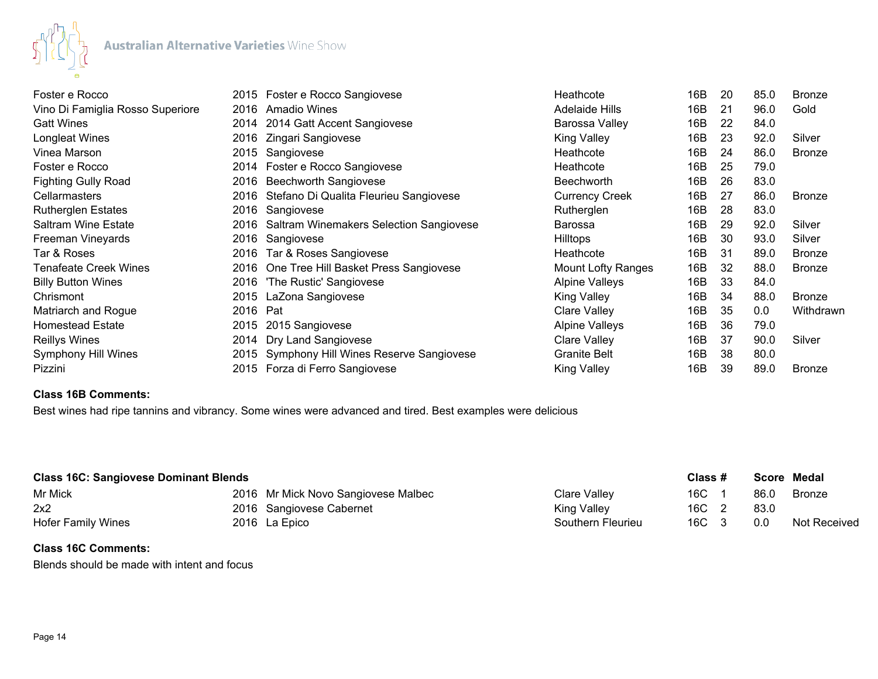

| Foster e Rocco                   |      | 2015 Foster e Rocco Sangiovese                 | Heathcote                 | 16B | 20 | 85.0 | <b>Bronze</b> |
|----------------------------------|------|------------------------------------------------|---------------------------|-----|----|------|---------------|
| Vino Di Famiglia Rosso Superiore | 2016 | <b>Amadio Wines</b>                            | Adelaide Hills            | 16B | 21 | 96.0 | Gold          |
| <b>Gatt Wines</b>                | 2014 | 2014 Gatt Accent Sangiovese                    | Barossa Valley            | 16B | 22 | 84.0 |               |
| Longleat Wines                   | 2016 | Zingari Sangiovese                             | <b>King Valley</b>        | 16B | 23 | 92.0 | Silver        |
| Vinea Marson                     | 2015 | Sangiovese                                     | Heathcote                 | 16B | 24 | 86.0 | <b>Bronze</b> |
| Foster e Rocco                   |      | 2014 Foster e Rocco Sangiovese                 | Heathcote                 | 16B | 25 | 79.0 |               |
| <b>Fighting Gully Road</b>       | 2016 | <b>Beechworth Sangiovese</b>                   | <b>Beechworth</b>         | 16B | 26 | 83.0 |               |
| Cellarmasters                    | 2016 | Stefano Di Qualita Fleurieu Sangiovese         | <b>Currency Creek</b>     | 16B | 27 | 86.0 | <b>Bronze</b> |
| <b>Rutherglen Estates</b>        | 2016 | Sangiovese                                     | Rutherglen                | 16B | 28 | 83.0 |               |
| <b>Saltram Wine Estate</b>       | 2016 | <b>Saltram Winemakers Selection Sangiovese</b> | Barossa                   | 16B | 29 | 92.0 | Silver        |
| Freeman Vineyards                | 2016 | Sangiovese                                     | <b>Hilltops</b>           | 16B | 30 | 93.0 | Silver        |
| Tar & Roses                      | 2016 | Tar & Roses Sangiovese                         | Heathcote                 | 16B | 31 | 89.0 | <b>Bronze</b> |
| <b>Tenafeate Creek Wines</b>     |      | 2016 One Tree Hill Basket Press Sangiovese     | <b>Mount Lofty Ranges</b> | 16B | 32 | 88.0 | Bronze        |
| <b>Billy Button Wines</b>        | 2016 | 'The Rustic' Sangiovese                        | <b>Alpine Valleys</b>     | 16B | 33 | 84.0 |               |
| Chrismont                        | 2015 | LaZona Sangiovese                              | <b>King Valley</b>        | 16B | 34 | 88.0 | <b>Bronze</b> |
| Matriarch and Rogue              | 2016 | Pat                                            | Clare Valley              | 16B | 35 | 0.0  | Withdrawn     |
| <b>Homestead Estate</b>          | 2015 | 2015 Sangiovese                                | Alpine Valleys            | 16B | 36 | 79.0 |               |
| <b>Reillys Wines</b>             | 2014 | Dry Land Sangiovese                            | Clare Valley              | 16B | 37 | 90.0 | Silver        |
| Symphony Hill Wines              | 2015 | Symphony Hill Wines Reserve Sangiovese         | <b>Granite Belt</b>       | 16B | 38 | 80.0 |               |
| Pizzini                          |      | 2015 Forza di Ferro Sangiovese                 | <b>King Valley</b>        | 16B | 39 | 89.0 | <b>Bronze</b> |

## **Class 16B Comments:**

Best wines had ripe tannins and vibrancy. Some wines were advanced and tired. Best examples were delicious

| <b>Class 16C: Sangiovese Dominant Blends</b> |  |                                     |                   |       | Class # | Score Medal |                     |
|----------------------------------------------|--|-------------------------------------|-------------------|-------|---------|-------------|---------------------|
| Mr Mick                                      |  | 2016 Mr Mick Novo Sangiovese Malbec | Clare Valley      | 16C   |         | 86.0        | Bronze              |
| 2x2                                          |  | 2016 Sangiovese Cabernet            | King Valley       | 16C   |         | 83.0        |                     |
| <b>Hofer Family Wines</b>                    |  | 2016 La Epico                       | Southern Fleurieu | 16C 3 |         | 0.0         | <b>Not Received</b> |

## **Class 16C Comments:**

Blends should be made with intent and focus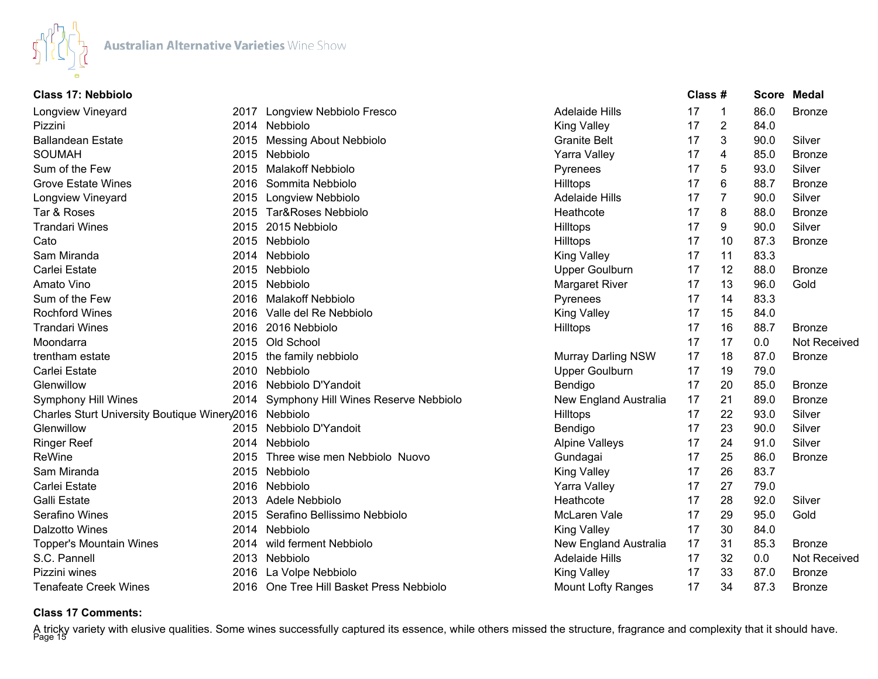

| <b>Class 17: Nebbiolo</b>                              |                                           |                           | Class # |                | <b>Score</b> | Medal         |
|--------------------------------------------------------|-------------------------------------------|---------------------------|---------|----------------|--------------|---------------|
| <b>Longview Vineyard</b>                               | 2017 Longview Nebbiolo Fresco             | <b>Adelaide Hills</b>     | 17      | -1             | 86.0         | <b>Bronze</b> |
| Pizzini                                                | 2014 Nebbiolo                             | <b>King Valley</b>        | 17      | $\overline{2}$ | 84.0         |               |
| <b>Ballandean Estate</b>                               | 2015 Messing About Nebbiolo               | <b>Granite Belt</b>       | 17      | 3              | 90.0         | Silver        |
| <b>SOUMAH</b>                                          | 2015 Nebbiolo                             | Yarra Valley              | 17      | 4              | 85.0         | <b>Bronze</b> |
| Sum of the Few                                         | 2015 Malakoff Nebbiolo                    | Pyrenees                  | 17      | 5              | 93.0         | Silver        |
| <b>Grove Estate Wines</b>                              | 2016 Sommita Nebbiolo                     | Hilltops                  | 17      | 6              | 88.7         | <b>Bronze</b> |
| Longview Vineyard                                      | 2015 Longview Nebbiolo                    | <b>Adelaide Hills</b>     | 17      | $\overline{7}$ | 90.0         | Silver        |
| Tar & Roses                                            | 2015 Tar&Roses Nebbiolo                   | Heathcote                 | 17      | 8              | 88.0         | <b>Bronze</b> |
| <b>Trandari Wines</b>                                  | 2015 2015 Nebbiolo                        | <b>Hilltops</b>           | 17      | 9              | 90.0         | Silver        |
| Cato                                                   | 2015 Nebbiolo                             | Hilltops                  | 17      | 10             | 87.3         | <b>Bronze</b> |
| Sam Miranda                                            | 2014 Nebbiolo                             | <b>King Valley</b>        | 17      | 11             | 83.3         |               |
| Carlei Estate                                          | 2015 Nebbiolo                             | <b>Upper Goulburn</b>     | 17      | 12             | 88.0         | <b>Bronze</b> |
| Amato Vino                                             | 2015 Nebbiolo                             | <b>Margaret River</b>     | 17      | 13             | 96.0         | Gold          |
| Sum of the Few                                         | 2016 Malakoff Nebbiolo                    | Pyrenees                  | 17      | 14             | 83.3         |               |
| <b>Rochford Wines</b>                                  | 2016 Valle del Re Nebbiolo                | <b>King Valley</b>        | 17      | 15             | 84.0         |               |
| <b>Trandari Wines</b>                                  | 2016 2016 Nebbiolo                        | <b>Hilltops</b>           | 17      | 16             | 88.7         | <b>Bronze</b> |
| Moondarra                                              | 2015 Old School                           |                           | 17      | 17             | 0.0          | Not Received  |
| trentham estate                                        | 2015 the family nebbiolo                  | Murray Darling NSW        | 17      | 18             | 87.0         | <b>Bronze</b> |
| Carlei Estate                                          | 2010 Nebbiolo                             | <b>Upper Goulburn</b>     | 17      | 19             | 79.0         |               |
| Glenwillow                                             | 2016 Nebbiolo D'Yandoit                   | Bendigo                   | 17      | 20             | 85.0         | <b>Bronze</b> |
| <b>Symphony Hill Wines</b>                             | 2014 Symphony Hill Wines Reserve Nebbiolo | New England Australia     | 17      | 21             | 89.0         | <b>Bronze</b> |
| Charles Sturt University Boutique Winery 2016 Nebbiolo |                                           | Hilltops                  | 17      | 22             | 93.0         | Silver        |
| Glenwillow                                             | 2015 Nebbiolo D'Yandoit                   | Bendigo                   | 17      | 23             | 90.0         | Silver        |
| <b>Ringer Reef</b>                                     | 2014 Nebbiolo                             | <b>Alpine Valleys</b>     | 17      | 24             | 91.0         | Silver        |
| ReWine                                                 | 2015 Three wise men Nebbiolo Nuovo        | Gundagai                  | 17      | 25             | 86.0         | <b>Bronze</b> |
| Sam Miranda                                            | 2015 Nebbiolo                             | <b>King Valley</b>        | 17      | 26             | 83.7         |               |
| Carlei Estate                                          | 2016 Nebbiolo                             | Yarra Valley              | 17      | 27             | 79.0         |               |
| <b>Galli Estate</b>                                    | 2013 Adele Nebbiolo                       | Heathcote                 | 17      | 28             | 92.0         | Silver        |
| Serafino Wines                                         | 2015 Serafino Bellissimo Nebbiolo         | McLaren Vale              | 17      | 29             | 95.0         | Gold          |
| Dalzotto Wines                                         | 2014 Nebbiolo                             | <b>King Valley</b>        | 17      | 30             | 84.0         |               |
| <b>Topper's Mountain Wines</b>                         | 2014 wild ferment Nebbiolo                | New England Australia     | 17      | 31             | 85.3         | <b>Bronze</b> |
| S.C. Pannell                                           | 2013 Nebbiolo                             | <b>Adelaide Hills</b>     | 17      | 32             | 0.0          | Not Received  |
| Pizzini wines                                          | 2016 La Volpe Nebbiolo                    | <b>King Valley</b>        | 17      | 33             | 87.0         | <b>Bronze</b> |
| <b>Tenafeate Creek Wines</b>                           | 2016 One Tree Hill Basket Press Nebbiolo  | <b>Mount Lofty Ranges</b> | 17      | 34             | 87.3         | <b>Bronze</b> |

## **Class 17 Comments:**

A tricky variety with elusive qualities. Some wines successfully captured its essence, while others missed the structure, fragrance and complexity that it should have.<br><sup>Page 15</sup>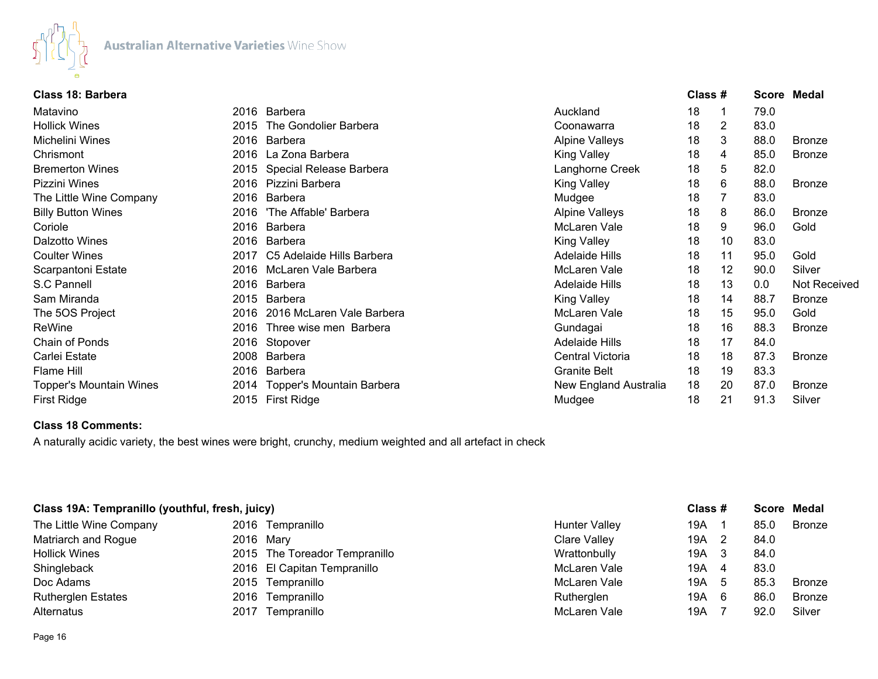

| Class 18: Barbera         |      |                                |                       | Class # |    |      | <b>Score Medal</b>  |
|---------------------------|------|--------------------------------|-----------------------|---------|----|------|---------------------|
| Matavino                  |      | 2016 Barbera                   | Auckland              | 18      | 1  | 79.0 |                     |
| <b>Hollick Wines</b>      | 2015 | The Gondolier Barbera          | Coonawarra            | 18      | 2  | 83.0 |                     |
| Michelini Wines           |      | 2016 Barbera                   | <b>Alpine Valleys</b> | 18      | 3  | 88.0 | <b>Bronze</b>       |
| Chrismont                 |      | 2016 La Zona Barbera           | <b>King Valley</b>    | 18      | 4  | 85.0 | <b>Bronze</b>       |
| <b>Bremerton Wines</b>    |      | 2015 Special Release Barbera   | Langhorne Creek       | 18      | 5  | 82.0 |                     |
| Pizzini Wines             |      | 2016 Pizzini Barbera           | <b>King Valley</b>    | 18      | 6  | 88.0 | Bronze              |
| The Little Wine Company   |      | 2016 Barbera                   | Mudgee                | 18      |    | 83.0 |                     |
| <b>Billy Button Wines</b> | 2016 | 'The Affable' Barbera          | <b>Alpine Valleys</b> | 18      | 8  | 86.0 | <b>Bronze</b>       |
| Coriole                   | 2016 | Barbera                        | McLaren Vale          | 18      | 9  | 96.0 | Gold                |
| Dalzotto Wines            |      | 2016 Barbera                   | <b>King Valley</b>    | 18      | 10 | 83.0 |                     |
| <b>Coulter Wines</b>      | 2017 | C5 Adelaide Hills Barbera      | <b>Adelaide Hills</b> | 18      | 11 | 95.0 | Gold                |
| Scarpantoni Estate        | 2016 | McLaren Vale Barbera           | McLaren Vale          | 18      | 12 | 90.0 | Silver              |
| S.C Pannell               | 2016 | Barbera                        | <b>Adelaide Hills</b> | 18      | 13 | 0.0  | <b>Not Received</b> |
| Sam Miranda               |      | 2015 Barbera                   | <b>King Valley</b>    | 18      | 14 | 88.7 | <b>Bronze</b>       |
| The 5OS Project           | 2016 | 2016 McLaren Vale Barbera      | McLaren Vale          | 18      | 15 | 95.0 | Gold                |
| ReWine                    | 2016 | Three wise men Barbera         | Gundagai              | 18      | 16 | 88.3 | <b>Bronze</b>       |
| Chain of Ponds            | 2016 | Stopover                       | <b>Adelaide Hills</b> | 18      | 17 | 84.0 |                     |
| Carlei Estate             | 2008 | Barbera                        | Central Victoria      | 18      | 18 | 87.3 | <b>Bronze</b>       |
| Flame Hill                | 2016 | <b>Barbera</b>                 | <b>Granite Belt</b>   | 18      | 19 | 83.3 |                     |
| Topper's Mountain Wines   |      | 2014 Topper's Mountain Barbera | New England Australia | 18      | 20 | 87.0 | <b>Bronze</b>       |
| First Ridge               |      | 2015 First Ridge               | Mudgee                | 18      | 21 | 91.3 | Silver              |

## **Class 18 Comments:**

A naturally acidic variety, the best wines were bright, crunchy, medium weighted and all artefact in check

| Class 19A: Tempranillo (youthful, fresh, juicy) |      |                               |                      | Class # |                |      | Score Medal |
|-------------------------------------------------|------|-------------------------------|----------------------|---------|----------------|------|-------------|
| The Little Wine Company                         |      | 2016 Tempranillo              | <b>Hunter Valley</b> | 19A     |                | 85.0 | Bronze      |
| Matriarch and Rogue                             |      | 2016 Mary                     | Clare Valley         | 19A l   |                | 84.0 |             |
| <b>Hollick Wines</b>                            |      | 2015 The Toreador Tempranillo | Wrattonbully         | 19A 3   |                | 84.0 |             |
| Shingleback                                     |      | 2016 El Capitan Tempranillo   | McLaren Vale         | 19A     | $\overline{4}$ | 83.0 |             |
| Doc Adams                                       |      | 2015 Tempranillo              | McLaren Vale         | 19A 5   |                | 85.3 | Bronze      |
| <b>Rutherglen Estates</b>                       |      | 2016 Tempranillo              | Rutherglen           | 19A     | 6              | 86.0 | Bronze      |
| Alternatus                                      | 2017 | Tempranillo                   | McLaren Vale         | 19A     |                | 92.0 | Silver      |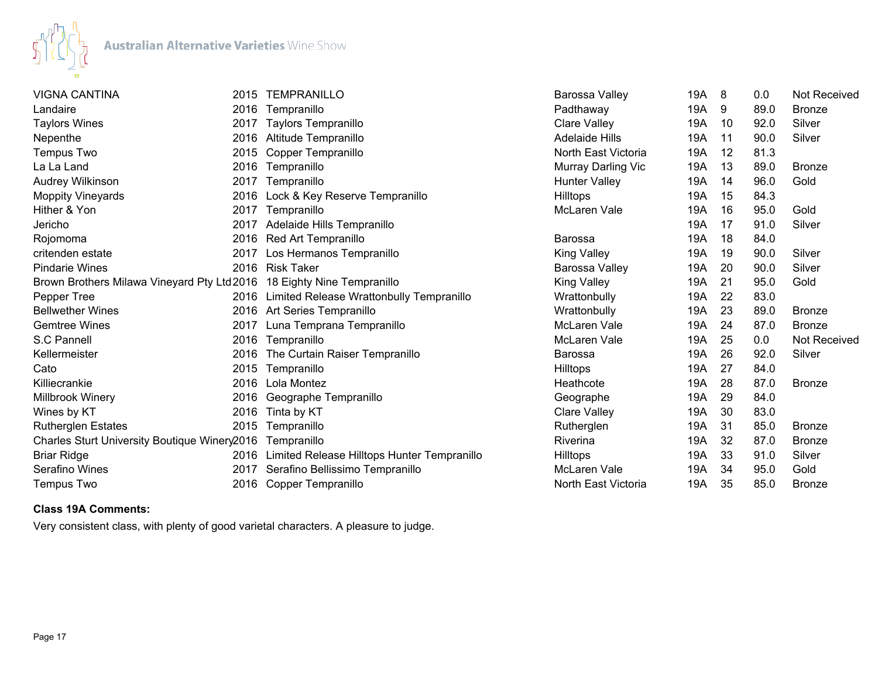

| <b>VIGNA CANTINA</b>                                                   | 2015 | <b>TEMPRANILLO</b>                          | Barossa Valley        | 19A | 8  | 0.0  | <b>Not Received</b> |
|------------------------------------------------------------------------|------|---------------------------------------------|-----------------------|-----|----|------|---------------------|
| Landaire                                                               | 2016 | Tempranillo                                 | Padthaway             | 19A | 9  | 89.0 | <b>Bronze</b>       |
| <b>Taylors Wines</b>                                                   | 2017 | <b>Taylors Tempranillo</b>                  | Clare Valley          | 19A | 10 | 92.0 | Silver              |
| Nepenthe                                                               | 2016 | Altitude Tempranillo                        | <b>Adelaide Hills</b> | 19A | 11 | 90.0 | Silver              |
| Tempus Two                                                             | 2015 | Copper Tempranillo                          | North East Victoria   | 19A | 12 | 81.3 |                     |
| La La Land                                                             | 2016 | Tempranillo                                 | Murray Darling Vic    | 19A | 13 | 89.0 | <b>Bronze</b>       |
| Audrey Wilkinson                                                       |      | 2017 Tempranillo                            | <b>Hunter Valley</b>  | 19A | 14 | 96.0 | Gold                |
| <b>Moppity Vineyards</b>                                               | 2016 | Lock & Key Reserve Tempranillo              | Hilltops              | 19A | 15 | 84.3 |                     |
| Hither & Yon                                                           | 2017 | Tempranillo                                 | McLaren Vale          | 19A | 16 | 95.0 | Gold                |
| Jericho                                                                | 2017 | Adelaide Hills Tempranillo                  |                       | 19A | 17 | 91.0 | Silver              |
| Rojomoma                                                               | 2016 | Red Art Tempranillo                         | <b>Barossa</b>        | 19A | 18 | 84.0 |                     |
| critenden estate                                                       | 2017 | Los Hermanos Tempranillo                    | <b>King Valley</b>    | 19A | 19 | 90.0 | Silver              |
| <b>Pindarie Wines</b>                                                  |      | 2016 Risk Taker                             | Barossa Valley        | 19A | 20 | 90.0 | Silver              |
| Brown Brothers Milawa Vineyard Pty Ltd 2016 18 Eighty Nine Tempranillo |      |                                             | <b>King Valley</b>    | 19A | 21 | 95.0 | Gold                |
| Pepper Tree                                                            | 2016 | Limited Release Wrattonbully Tempranillo    | Wrattonbully          | 19A | 22 | 83.0 |                     |
| <b>Bellwether Wines</b>                                                |      | 2016 Art Series Tempranillo                 | Wrattonbully          | 19A | 23 | 89.0 | <b>Bronze</b>       |
| <b>Gemtree Wines</b>                                                   | 2017 | Luna Temprana Tempranillo                   | McLaren Vale          | 19A | 24 | 87.0 | <b>Bronze</b>       |
| S.C Pannell                                                            | 2016 | Tempranillo                                 | McLaren Vale          | 19A | 25 | 0.0  | <b>Not Received</b> |
| Kellermeister                                                          | 2016 | The Curtain Raiser Tempranillo              | Barossa               | 19A | 26 | 92.0 | Silver              |
| Cato                                                                   | 2015 | Tempranillo                                 | Hilltops              | 19A | 27 | 84.0 |                     |
| Killiecrankie                                                          | 2016 | Lola Montez                                 | Heathcote             | 19A | 28 | 87.0 | <b>Bronze</b>       |
| Millbrook Winery                                                       | 2016 | Geographe Tempranillo                       | Geographe             | 19A | 29 | 84.0 |                     |
| Wines by KT                                                            | 2016 | Tinta by KT                                 | <b>Clare Valley</b>   | 19A | 30 | 83.0 |                     |
| <b>Rutherglen Estates</b>                                              | 2015 | Tempranillo                                 | Rutherglen            | 19A | 31 | 85.0 | <b>Bronze</b>       |
| Charles Sturt University Boutique Winery2016                           |      | Tempranillo                                 | Riverina              | 19A | 32 | 87.0 | <b>Bronze</b>       |
| <b>Briar Ridge</b>                                                     | 2016 | Limited Release Hilltops Hunter Tempranillo | Hilltops              | 19A | 33 | 91.0 | Silver              |
| Serafino Wines                                                         | 2017 | Serafino Bellissimo Tempranillo             | McLaren Vale          | 19A | 34 | 95.0 | Gold                |
| <b>Tempus Two</b>                                                      | 2016 | Copper Tempranillo                          | North East Victoria   | 19A | 35 | 85.0 | <b>Bronze</b>       |

# **Class 19A Comments:**

Very consistent class, with plenty of good varietal characters. A pleasure to judge.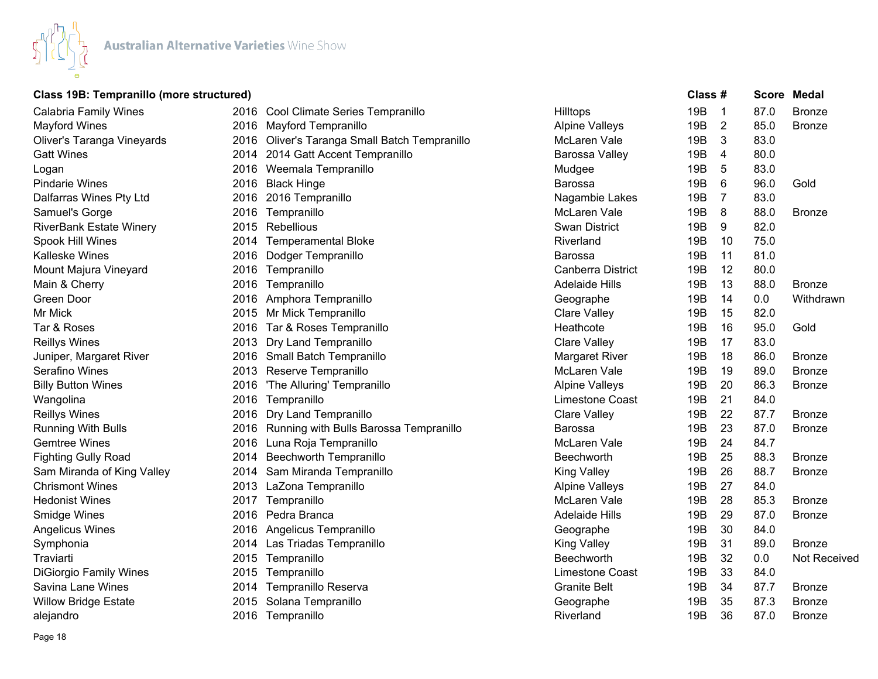

# **Class 19B: Tempranillo (more structured) Class # Score Medal**

| <b>Calabria Family Wines</b>   |      | 2016 Cool Climate Series Tempranillo          | <b>Hilltops</b>       | 19B             | $\overline{1}$ | 87.0 | <b>Bronze</b> |
|--------------------------------|------|-----------------------------------------------|-----------------------|-----------------|----------------|------|---------------|
| <b>Mayford Wines</b>           |      | 2016 Mayford Tempranillo                      | <b>Alpine Valleys</b> | 19B             | $\overline{2}$ | 85.0 | <b>Bronze</b> |
| Oliver's Taranga Vineyards     |      | 2016 Oliver's Taranga Small Batch Tempranillo | McLaren Vale          | 19B             | 3              | 83.0 |               |
| <b>Gatt Wines</b>              | 2014 | 2014 Gatt Accent Tempranillo                  | Barossa Valley        | 19B             | 4              | 80.0 |               |
| Logan                          |      | 2016 Weemala Tempranillo                      | Mudgee                | 19B             | 5              | 83.0 |               |
| <b>Pindarie Wines</b>          |      | 2016 Black Hinge                              | Barossa               | 19B             | 6              | 96.0 | Gold          |
| Dalfarras Wines Pty Ltd        |      | 2016 2016 Tempranillo                         | Nagambie Lakes        | 19 <sub>B</sub> | 7              | 83.0 |               |
| Samuel's Gorge                 | 2016 | Tempranillo                                   | McLaren Vale          | 19B             | 8              | 88.0 | <b>Bronze</b> |
| <b>RiverBank Estate Winery</b> |      | 2015 Rebellious                               | <b>Swan District</b>  | 19B             | 9              | 82.0 |               |
| Spook Hill Wines               | 2014 | <b>Temperamental Bloke</b>                    | Riverland             | 19B             | 10             | 75.0 |               |
| <b>Kalleske Wines</b>          | 2016 | Dodger Tempranillo                            | Barossa               | 19 <sub>B</sub> | 11             | 81.0 |               |
| Mount Majura Vineyard          | 2016 | Tempranillo                                   | Canberra District     | 19B             | 12             | 80.0 |               |
| Main & Cherry                  | 2016 | Tempranillo                                   | <b>Adelaide Hills</b> | 19B             | 13             | 88.0 | <b>Bronze</b> |
| Green Door                     | 2016 | Amphora Tempranillo                           | Geographe             | 19B             | 14             | 0.0  | Withdrawn     |
| Mr Mick                        |      | 2015 Mr Mick Tempranillo                      | <b>Clare Valley</b>   | 19B             | 15             | 82.0 |               |
| Tar & Roses                    | 2016 | Tar & Roses Tempranillo                       | Heathcote             | 19B             | 16             | 95.0 | Gold          |
| <b>Reillys Wines</b>           | 2013 | Dry Land Tempranillo                          | <b>Clare Valley</b>   | 19B             | 17             | 83.0 |               |
| Juniper, Margaret River        |      | 2016 Small Batch Tempranillo                  | <b>Margaret River</b> | 19B             | 18             | 86.0 | <b>Bronze</b> |
| Serafino Wines                 |      | 2013 Reserve Tempranillo                      | McLaren Vale          | 19 <sub>B</sub> | 19             | 89.0 | <b>Bronze</b> |
| <b>Billy Button Wines</b>      | 2016 | 'The Alluring' Tempranillo                    | <b>Alpine Valleys</b> | 19B             | 20             | 86.3 | <b>Bronze</b> |
| Wangolina                      |      | 2016 Tempranillo                              | Limestone Coast       | 19B             | 21             | 84.0 |               |
| <b>Reillys Wines</b>           |      | 2016 Dry Land Tempranillo                     | <b>Clare Valley</b>   | 19B             | 22             | 87.7 | <b>Bronze</b> |
| <b>Running With Bulls</b>      |      | 2016 Running with Bulls Barossa Tempranillo   | <b>Barossa</b>        | 19B             | 23             | 87.0 | <b>Bronze</b> |
| <b>Gemtree Wines</b>           | 2016 | Luna Roja Tempranillo                         | McLaren Vale          | 19B             | 24             | 84.7 |               |
| <b>Fighting Gully Road</b>     | 2014 | <b>Beechworth Tempranillo</b>                 | Beechworth            | 19B             | 25             | 88.3 | <b>Bronze</b> |
| Sam Miranda of King Valley     | 2014 | Sam Miranda Tempranillo                       | <b>King Valley</b>    | 19 <sub>B</sub> | 26             | 88.7 | <b>Bronze</b> |
| <b>Chrismont Wines</b>         | 2013 | LaZona Tempranillo                            | <b>Alpine Valleys</b> | 19B             | 27             | 84.0 |               |
| <b>Hedonist Wines</b>          | 2017 | Tempranillo                                   | McLaren Vale          | 19B             | 28             | 85.3 | <b>Bronze</b> |
| Smidge Wines                   |      | 2016 Pedra Branca                             | <b>Adelaide Hills</b> | 19 <sub>B</sub> | 29             | 87.0 | <b>Bronze</b> |
| <b>Angelicus Wines</b>         | 2016 | Angelicus Tempranillo                         | Geographe             | 19B             | 30             | 84.0 |               |
| Symphonia                      |      | 2014 Las Triadas Tempranillo                  | <b>King Valley</b>    | 19B             | 31             | 89.0 | <b>Bronze</b> |
| Traviarti                      | 2015 | Tempranillo                                   | Beechworth            | 19 <sub>B</sub> | 32             | 0.0  | Not Received  |
| <b>DiGiorgio Family Wines</b>  | 2015 | Tempranillo                                   | Limestone Coast       | 19B             | 33             | 84.0 |               |
| Savina Lane Wines              | 2014 | Tempranillo Reserva                           | <b>Granite Belt</b>   | 19B             | 34             | 87.7 | <b>Bronze</b> |
| <b>Willow Bridge Estate</b>    | 2015 | Solana Tempranillo                            | Geographe             | 19B             | 35             | 87.3 | <b>Bronze</b> |
| alejandro                      |      | 2016 Tempranillo                              | Riverland             | 19B             | 36             | 87.0 | <b>Bronze</b> |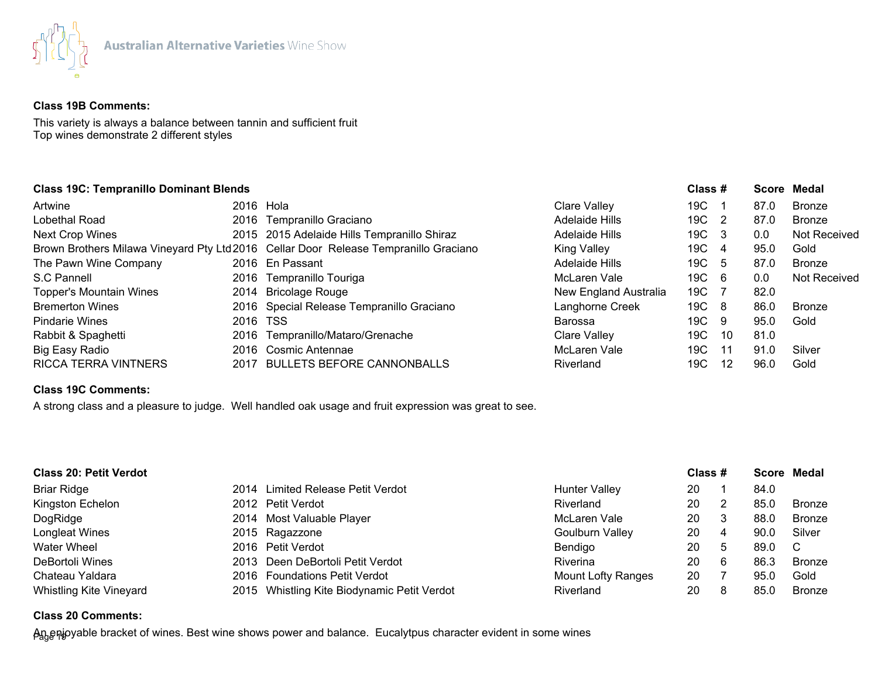

#### **Class 19B Comments:**

This variety is always a balance between tannin and sufficient fruit Top wines demonstrate 2 different styles

## **Class 19C: Tempranillo Dominant Blends Class # Score Medal**

| Artwine                        | 2016 Hola |                                                                                      | Clare Valley          | 19C . |     | 87.0 | <b>Bronze</b> |
|--------------------------------|-----------|--------------------------------------------------------------------------------------|-----------------------|-------|-----|------|---------------|
| Lobethal Road                  |           | 2016 Tempranillo Graciano                                                            | <b>Adelaide Hills</b> | 19C   | - 2 | 87.0 | <b>Bronze</b> |
| <b>Next Crop Wines</b>         |           | 2015 2015 Adelaide Hills Tempranillo Shiraz                                          | Adelaide Hills        | 19C   | - 3 | 0.0  | Not Received  |
|                                |           | Brown Brothers Milawa Vineyard Pty Ltd 2016 Cellar Door Release Tempranillo Graciano | <b>King Valley</b>    | 19C   | 4   | 95.0 | Gold          |
| The Pawn Wine Company          |           | 2016 En Passant                                                                      | Adelaide Hills        | 19C   | -5  | 87.0 | <b>Bronze</b> |
| S.C Pannell                    |           | 2016 Tempranillo Touriga                                                             | McLaren Vale          | 19C   | -6  | 0.0  | Not Received  |
| <b>Topper's Mountain Wines</b> |           | 2014 Bricolage Rouge                                                                 | New England Australia | 19C   |     | 82.0 |               |
| <b>Bremerton Wines</b>         |           | 2016 Special Release Tempranillo Graciano                                            | Langhorne Creek       | 19C 8 |     | 86.0 | <b>Bronze</b> |
| <b>Pindarie Wines</b>          | 2016 TSS  |                                                                                      | Barossa               | 19C - | -9  | 95.0 | Gold          |
| Rabbit & Spaghetti             |           | 2016 Tempranillo/Mataro/Grenache                                                     | Clare Valley          | 19C   | 10  | 81.0 |               |
| Big Easy Radio                 |           | 2016 Cosmic Antennae                                                                 | McLaren Vale          | 19C   | -11 | 91.0 | Silver        |
| <b>RICCA TERRA VINTNERS</b>    |           | 2017 BULLETS BEFORE CANNONBALLS                                                      | Riverland             | 19C   | 12  | 96.0 | Gold          |

# **Class 19C Comments:**

A strong class and a pleasure to judge. Well handled oak usage and fruit expression was great to see.

| <b>Class 20: Petit Verdot</b>  |  |                                             |                           | Class # |   |      | Score Medal   |
|--------------------------------|--|---------------------------------------------|---------------------------|---------|---|------|---------------|
| <b>Briar Ridge</b>             |  | 2014 Limited Release Petit Verdot           | <b>Hunter Valley</b>      | 20      |   | 84.0 |               |
| Kingston Echelon               |  | 2012 Petit Verdot                           | Riverland                 | 20      |   | 85.0 | Bronze        |
| DogRidge                       |  | 2014 Most Valuable Player                   | McLaren Vale              | 20      |   | 88.0 | <b>Bronze</b> |
| Longleat Wines                 |  | 2015 Ragazzone                              | <b>Goulburn Valley</b>    | 20      | 4 | 90.0 | Silver        |
| <b>Water Wheel</b>             |  | 2016 Petit Verdot                           | Bendigo                   | 20      | 5 | 89.0 | -C            |
| DeBortoli Wines                |  | 2013 Deen DeBortoli Petit Verdot            | Riverina                  | 20      | 6 | 86.3 | <b>Bronze</b> |
| Chateau Yaldara                |  | 2016 Foundations Petit Verdot               | <b>Mount Lofty Ranges</b> | 20      |   | 95.0 | Gold          |
| <b>Whistling Kite Vineyard</b> |  | 2015 Whistling Kite Biodynamic Petit Verdot | Riverland                 | 20      |   | 85.0 | Bronze        |

## **Class 20 Comments:**

An<sub>g</sub>eրjoyable bracket of wines. Best wine shows power and balance. Eucalytpus character evident in some wines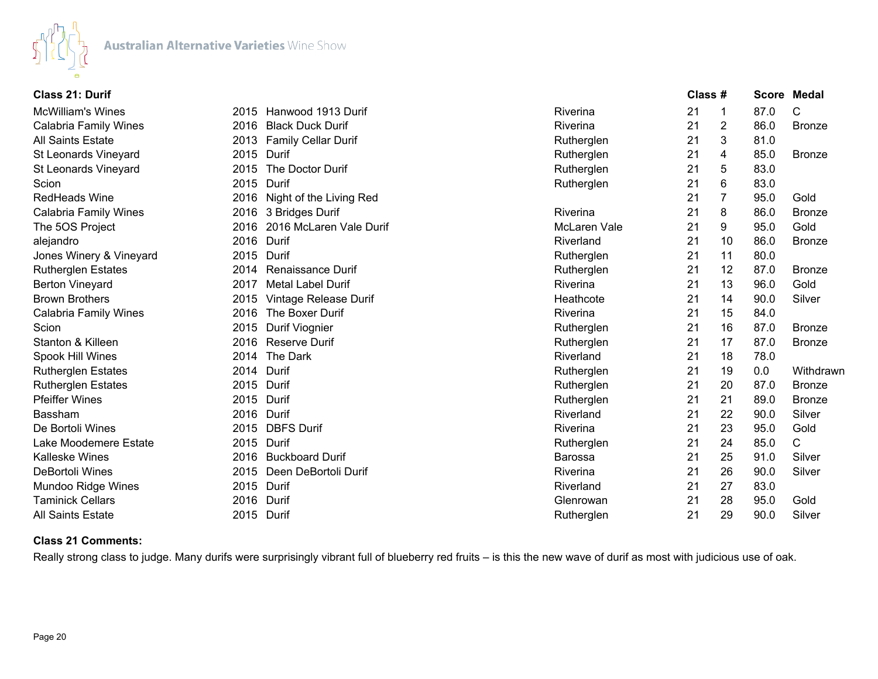

| <b>Class 21: Durif</b>       |      |                              |                | Class # |                |      | <b>Score Medal</b> |
|------------------------------|------|------------------------------|----------------|---------|----------------|------|--------------------|
| <b>McWilliam's Wines</b>     |      | 2015 Hanwood 1913 Durif      | Riverina       | 21      | 1              | 87.0 | C                  |
| <b>Calabria Family Wines</b> |      | 2016 Black Duck Durif        | Riverina       | 21      | $\overline{2}$ | 86.0 | <b>Bronze</b>      |
| <b>All Saints Estate</b>     |      | 2013 Family Cellar Durif     | Rutherglen     | 21      | 3              | 81.0 |                    |
| <b>St Leonards Vineyard</b>  |      | 2015 Durif                   | Rutherglen     | 21      | 4              | 85.0 | <b>Bronze</b>      |
| St Leonards Vineyard         | 2015 | The Doctor Durif             | Rutherglen     | 21      | 5              | 83.0 |                    |
| Scion                        |      | 2015 Durif                   | Rutherglen     | 21      | 6              | 83.0 |                    |
| <b>RedHeads Wine</b>         |      | 2016 Night of the Living Red |                | 21      | 7              | 95.0 | Gold               |
| <b>Calabria Family Wines</b> |      | 2016 3 Bridges Durif         | Riverina       | 21      | 8              | 86.0 | <b>Bronze</b>      |
| The 5OS Project              |      | 2016 2016 McLaren Vale Durif | McLaren Vale   | 21      | 9              | 95.0 | Gold               |
| alejandro                    |      | 2016 Durif                   | Riverland      | 21      | 10             | 86.0 | <b>Bronze</b>      |
| Jones Winery & Vineyard      |      | 2015 Durif                   | Rutherglen     | 21      | 11             | 80.0 |                    |
| <b>Rutherglen Estates</b>    | 2014 | <b>Renaissance Durif</b>     | Rutherglen     | 21      | 12             | 87.0 | <b>Bronze</b>      |
| <b>Berton Vineyard</b>       | 2017 | <b>Metal Label Durif</b>     | Riverina       | 21      | 13             | 96.0 | Gold               |
| <b>Brown Brothers</b>        | 2015 | Vintage Release Durif        | Heathcote      | 21      | 14             | 90.0 | Silver             |
| Calabria Family Wines        | 2016 | The Boxer Durif              | Riverina       | 21      | 15             | 84.0 |                    |
| Scion                        | 2015 | Durif Viognier               | Rutherglen     | 21      | 16             | 87.0 | <b>Bronze</b>      |
| Stanton & Killeen            |      | 2016 Reserve Durif           | Rutherglen     | 21      | 17             | 87.0 | <b>Bronze</b>      |
| Spook Hill Wines             |      | 2014 The Dark                | Riverland      | 21      | 18             | 78.0 |                    |
| <b>Rutherglen Estates</b>    |      | 2014 Durif                   | Rutherglen     | 21      | 19             | 0.0  | Withdrawn          |
| <b>Rutherglen Estates</b>    |      | 2015 Durif                   | Rutherglen     | 21      | 20             | 87.0 | <b>Bronze</b>      |
| <b>Pfeiffer Wines</b>        |      | 2015 Durif                   | Rutherglen     | 21      | 21             | 89.0 | <b>Bronze</b>      |
| <b>Bassham</b>               |      | 2016 Durif                   | Riverland      | 21      | 22             | 90.0 | Silver             |
| De Bortoli Wines             |      | 2015 DBFS Durif              | Riverina       | 21      | 23             | 95.0 | Gold               |
| Lake Moodemere Estate        |      | 2015 Durif                   | Rutherglen     | 21      | 24             | 85.0 | С                  |
| <b>Kalleske Wines</b>        |      | 2016 Buckboard Durif         | <b>Barossa</b> | 21      | 25             | 91.0 | Silver             |
| DeBortoli Wines              |      | 2015 Deen DeBortoli Durif    | Riverina       | 21      | 26             | 90.0 | Silver             |
| Mundoo Ridge Wines           |      | 2015 Durif                   | Riverland      | 21      | 27             | 83.0 |                    |
| <b>Taminick Cellars</b>      | 2016 | Durif                        | Glenrowan      | 21      | 28             | 95.0 | Gold               |
| <b>All Saints Estate</b>     |      | 2015 Durif                   | Rutherglen     | 21      | 29             | 90.0 | Silver             |

## **Class 21 Comments:**

Really strong class to judge. Many durifs were surprisingly vibrant full of blueberry red fruits – is this the new wave of durif as most with judicious use of oak.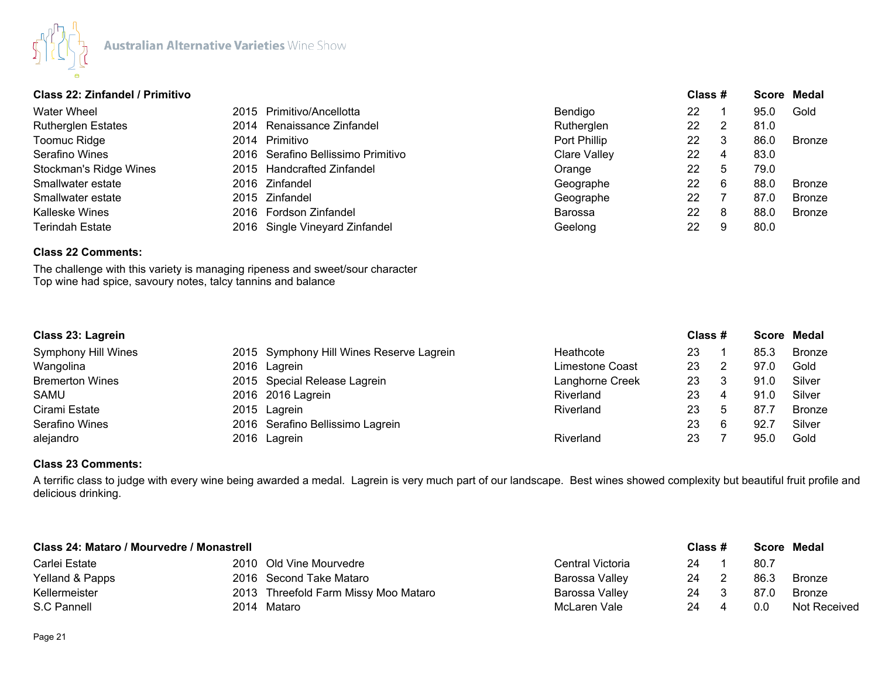

## **Class 22: Zinfandel / Primitivo Class # Score Medal**

| <b>Water Wheel</b>        | 2015 Primitivo/Ancellotta          | Bendigo             | 22 |    | 95.0 | Gold          |
|---------------------------|------------------------------------|---------------------|----|----|------|---------------|
| <b>Rutherglen Estates</b> | 2014 Renaissance Zinfandel         | Rutherglen          | 22 |    | 81.0 |               |
| Toomuc Ridge              | 2014 Primitivo                     | Port Phillip        | 22 | 3  | 86.0 | Bronze        |
| Serafino Wines            | 2016 Serafino Bellissimo Primitivo | <b>Clare Valley</b> | 22 | 4  | 83.0 |               |
| Stockman's Ridge Wines    | 2015 Handcrafted Zinfandel         | Orange              | 22 | 5  | 79.0 |               |
| Smallwater estate         | 2016 Zinfandel                     | Geographe           | 22 | -6 | 88.0 | <b>Bronze</b> |
| Smallwater estate         | 2015 Zinfandel                     | Geographe           | 22 |    | 87.0 | <b>Bronze</b> |
| Kalleske Wines            | 2016 Fordson Zinfandel             | <b>Barossa</b>      | 22 | 8  | 88.0 | <b>Bronze</b> |
| <b>Terindah Estate</b>    | 2016 Single Vineyard Zinfandel     | Geelong             | 22 | 9  | 80.0 |               |

# **Class 22 Comments:**

The challenge with this variety is managing ripeness and sweet/sour character Top wine had spice, savoury notes, talcy tannins and balance

| Class 23: Lagrein      |  |                                          |                 | Class # |             |      | Score Medal   |  |
|------------------------|--|------------------------------------------|-----------------|---------|-------------|------|---------------|--|
| Symphony Hill Wines    |  | 2015 Symphony Hill Wines Reserve Lagrein | Heathcote       | 23      |             | 85.3 | Bronze        |  |
| Wangolina              |  | 2016 Lagrein                             | Limestone Coast | 23      |             | 97.0 | Gold          |  |
| <b>Bremerton Wines</b> |  | 2015 Special Release Lagrein             | Langhorne Creek | 23      |             | 91.0 | Silver        |  |
| SAMU                   |  | 2016 2016 Lagrein                        | Riverland       | 23      | 4           | 91.0 | Silver        |  |
| Cirami Estate          |  | 2015 Lagrein                             | Riverland       | 23      | $\mathbf b$ | 87.7 | <b>Bronze</b> |  |
| Serafino Wines         |  | 2016 Serafino Bellissimo Lagrein         |                 | 23      | 6           | 92.7 | Silver        |  |
| alejandro              |  | 2016 Lagrein                             | Riverland       | 23      |             | 95.0 | Gold          |  |

#### **Class 23 Comments:**

A terrific class to judge with every wine being awarded a medal. Lagrein is very much part of our landscape. Best wines showed complexity but beautiful fruit profile and delicious drinking.

| Class 24: Mataro / Mourvedre / Monastrell |  |                                      |                  | Class # | Score Medal |               |
|-------------------------------------------|--|--------------------------------------|------------------|---------|-------------|---------------|
| Carlei Estate                             |  | 2010 Old Vine Mourvedre              | Central Victoria | 24      | 80.7        |               |
| Yelland & Papps                           |  | 2016 Second Take Mataro              | Barossa Valley   | 24      | 86.3        | <b>Bronze</b> |
| Kellermeister                             |  | 2013 Threefold Farm Missy Moo Mataro | Barossa Valley   | 24      | 87.0        | <b>Bronze</b> |
| S.C Pannell                               |  | 2014 Mataro                          | McLaren Vale     | 24      | 0.0         | Not Received  |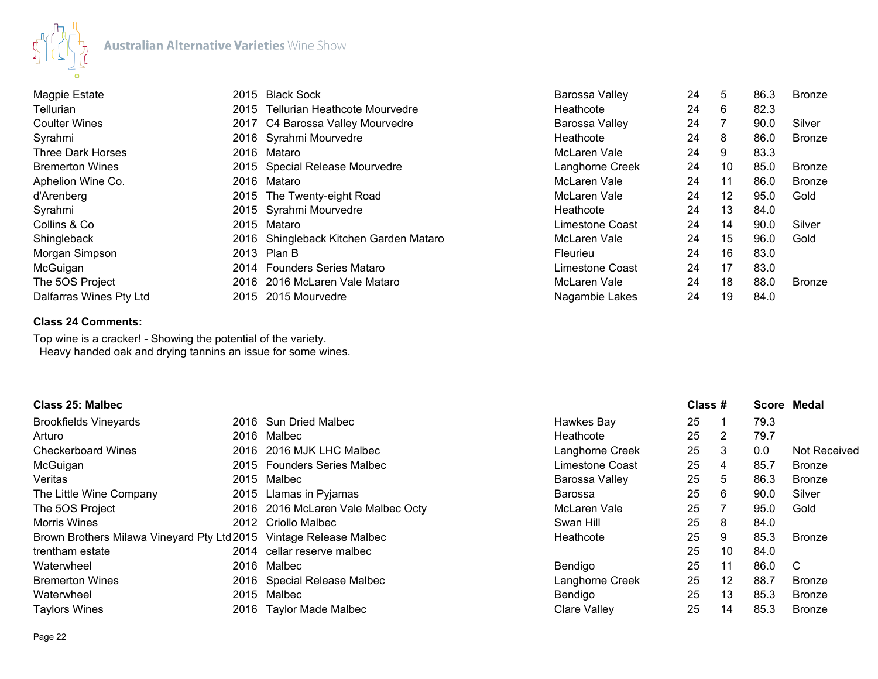

| Magpie Estate            | 2015 Black Sock                        | Barossa Valley  | 24 | 5  | 86.3 | <b>Bronze</b> |
|--------------------------|----------------------------------------|-----------------|----|----|------|---------------|
| Tellurian                | 2015 Tellurian Heathcote Mourvedre     | Heathcote       | 24 | 6  | 82.3 |               |
| <b>Coulter Wines</b>     | 2017 C4 Barossa Valley Mourvedre       | Barossa Valley  | 24 |    | 90.0 | Silver        |
| Syrahmi                  | 2016 Syrahmi Mourvedre                 | Heathcote       | 24 | 8  | 86.0 | Bronze        |
| <b>Three Dark Horses</b> | 2016 Mataro                            | McLaren Vale    | 24 | 9  | 83.3 |               |
| <b>Bremerton Wines</b>   | 2015 Special Release Mourvedre         | Langhorne Creek | 24 | 10 | 85.0 | <b>Bronze</b> |
| Aphelion Wine Co.        | 2016 Mataro                            | McLaren Vale    | 24 | 11 | 86.0 | Bronze        |
| d'Arenberg               | 2015 The Twenty-eight Road             | McLaren Vale    | 24 | 12 | 95.0 | Gold          |
| Syrahmi                  | 2015 Syrahmi Mourvedre                 | Heathcote       | 24 | 13 | 84.0 |               |
| Collins & Co             | 2015 Mataro                            | Limestone Coast | 24 | 14 | 90.0 | Silver        |
| Shingleback              | 2016 Shingleback Kitchen Garden Mataro | McLaren Vale    | 24 | 15 | 96.0 | Gold          |
| Morgan Simpson           | 2013 Plan B                            | Fleurieu        | 24 | 16 | 83.0 |               |
| McGuigan                 | 2014 Founders Series Mataro            | Limestone Coast | 24 | 17 | 83.0 |               |
| The 5OS Project          | 2016 2016 McLaren Vale Mataro          | McLaren Vale    | 24 | 18 | 88.0 | <b>Bronze</b> |
| Dalfarras Wines Pty Ltd  | 2015 2015 Mourvedre                    | Nagambie Lakes  | 24 | 19 | 84.0 |               |

## **Class 24 Comments:**

Top wine is a cracker! - Showing the potential of the variety. Heavy handed oak and drying tannins an issue for some wines.

| Class 25: Malbec                            |      |                                    |                     | Class # |                |      | Score Medal         |
|---------------------------------------------|------|------------------------------------|---------------------|---------|----------------|------|---------------------|
| <b>Brookfields Vineyards</b>                |      | 2016 Sun Dried Malbec              | Hawkes Bay          | 25      |                | 79.3 |                     |
| Arturo                                      |      | 2016 Malbec                        | Heathcote           | 25      | 2              | 79.7 |                     |
| <b>Checkerboard Wines</b>                   |      | 2016 2016 MJK LHC Malbec           | Langhorne Creek     | 25      | 3              | 0.0  | <b>Not Received</b> |
| McGuigan                                    |      | 2015 Founders Series Malbec        | Limestone Coast     | 25      | 4              | 85.7 | <b>Bronze</b>       |
| Veritas                                     |      | 2015 Malbec                        | Barossa Valley      | 25      | 5              | 86.3 | <b>Bronze</b>       |
| The Little Wine Company                     |      | 2015 Llamas in Pyjamas             | Barossa             | 25      | 6              | 90.0 | Silver              |
| The 5OS Project                             |      | 2016 2016 McLaren Vale Malbec Octy | McLaren Vale        | 25      | $\overline{7}$ | 95.0 | Gold                |
| <b>Morris Wines</b>                         |      | 2012 Criollo Malbec                | Swan Hill           | 25      | 8              | 84.0 |                     |
| Brown Brothers Milawa Vineyard Pty Ltd 2015 |      | Vintage Release Malbec             | Heathcote           | 25      | 9              | 85.3 | <b>Bronze</b>       |
| trentham estate                             |      | 2014 cellar reserve malbec         |                     | 25      | 10             | 84.0 |                     |
| Waterwheel                                  |      | 2016 Malbec                        | Bendigo             | 25      | 11             | 86.0 | C                   |
| <b>Bremerton Wines</b>                      |      | 2016 Special Release Malbec        | Langhorne Creek     | 25      | 12             | 88.7 | <b>Bronze</b>       |
| Waterwheel                                  |      | 2015 Malbec                        | Bendigo             | 25      | 13             | 85.3 | <b>Bronze</b>       |
| <b>Taylors Wines</b>                        | 2016 | <b>Taylor Made Malbec</b>          | <b>Clare Valley</b> | 25      | 14             | 85.3 | <b>Bronze</b>       |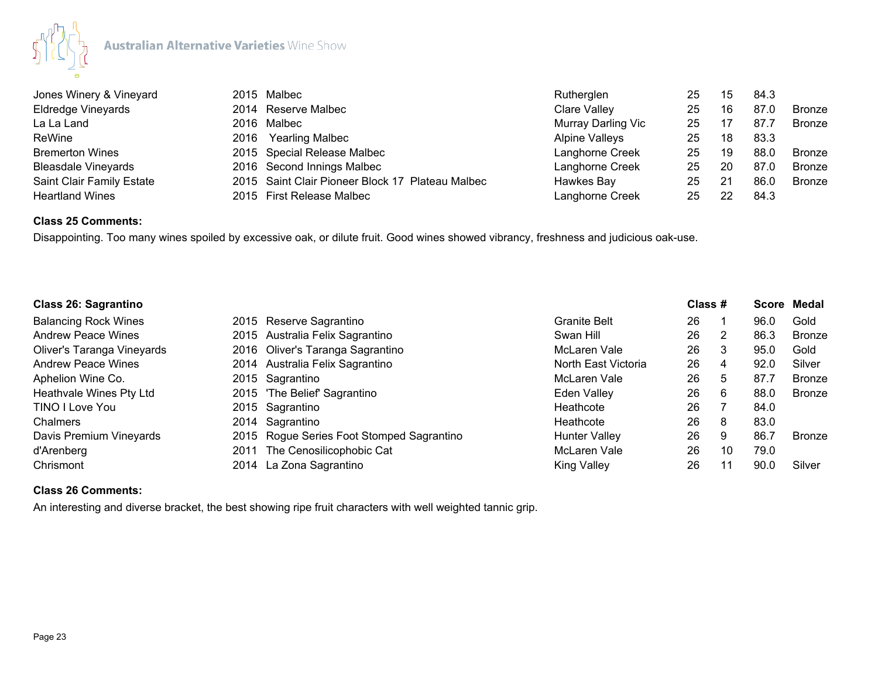

| Jones Winery & Vineyard    | 2015 Malbec                                      | Rutherglen         | 25 | 15 | 84.3 |               |
|----------------------------|--------------------------------------------------|--------------------|----|----|------|---------------|
| <b>Eldredge Vineyards</b>  | 2014 Reserve Malbec                              | Clare Valley       | 25 | 16 | 87.0 | Bronze        |
| La La Land                 | 2016 Malbec                                      | Murray Darling Vic | 25 |    | 87.7 | Bronze        |
| ReWine                     | 2016 Yearling Malbec                             | Alpine Valleys     | 25 | 18 | 83.3 |               |
| <b>Bremerton Wines</b>     | 2015 Special Release Malbec                      | Langhorne Creek    | 25 | 19 | 88.0 | Bronze        |
| <b>Bleasdale Vineyards</b> | 2016 Second Innings Malbec                       | Langhorne Creek    | 25 | 20 | 87.0 | <b>Bronze</b> |
| Saint Clair Family Estate  | 2015 Saint Clair Pioneer Block 17 Plateau Malbec | Hawkes Bay         | 25 | 21 | 86.0 | <b>Bronze</b> |
| <b>Heartland Wines</b>     | 2015 First Release Malbec                        | Langhorne Creek    | 25 | 22 | 84.3 |               |

# **Class 25 Comments:**

Disappointing. Too many wines spoiled by excessive oak, or dilute fruit. Good wines showed vibrancy, freshness and judicious oak-use.

| <b>Class 26: Sagrantino</b> |      |                                           |                      | Class # |    |      | Score Medal   |  |
|-----------------------------|------|-------------------------------------------|----------------------|---------|----|------|---------------|--|
| <b>Balancing Rock Wines</b> |      | 2015 Reserve Sagrantino                   | Granite Belt         | 26      |    | 96.0 | Gold          |  |
| <b>Andrew Peace Wines</b>   |      | 2015 Australia Felix Sagrantino           | Swan Hill            | 26      |    | 86.3 | <b>Bronze</b> |  |
| Oliver's Taranga Vineyards  |      | 2016 Oliver's Taranga Sagrantino          | McLaren Vale         | 26      | 3  | 95.0 | Gold          |  |
| <b>Andrew Peace Wines</b>   |      | 2014 Australia Felix Sagrantino           | North East Victoria  | 26      | 4  | 92.0 | Silver        |  |
| Aphelion Wine Co.           |      | 2015 Sagrantino                           | McLaren Vale         | 26      | 5. | 87.7 | <b>Bronze</b> |  |
| Heathvale Wines Pty Ltd     |      | 2015 'The Belief' Sagrantino              | Eden Valley          | 26      | 6  | 88.0 | <b>Bronze</b> |  |
| TINO I Love You             |      | 2015 Sagrantino                           | Heathcote            | 26      |    | 84.0 |               |  |
| Chalmers                    |      | 2014 Sagrantino                           | Heathcote            | 26      | -8 | 83.0 |               |  |
| Davis Premium Vineyards     |      | 2015 Rogue Series Foot Stomped Sagrantino | <b>Hunter Valley</b> | 26      | -9 | 86.7 | <b>Bronze</b> |  |
| d'Arenberg                  | 2011 | The Cenosilicophobic Cat                  | McLaren Vale         | 26      | 10 | 79.0 |               |  |
| Chrismont                   |      | 2014 La Zona Sagrantino                   | <b>King Valley</b>   | 26      |    | 90.0 | Silver        |  |

## **Class 26 Comments:**

An interesting and diverse bracket, the best showing ripe fruit characters with well weighted tannic grip.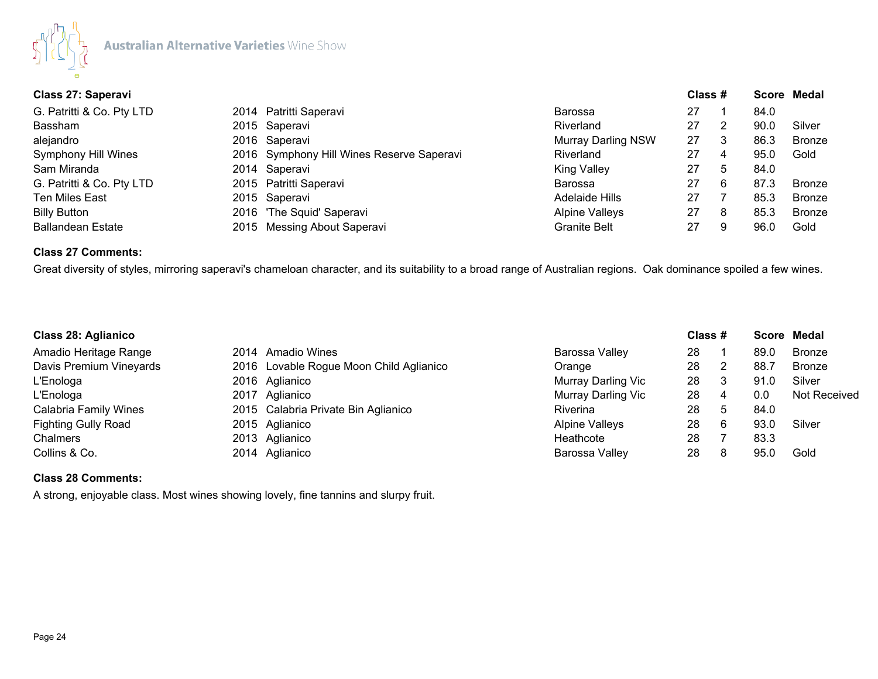

| Class 27: Saperavi         |  |                                           |                           |    | Class # |      | Score Medal   |
|----------------------------|--|-------------------------------------------|---------------------------|----|---------|------|---------------|
| G. Patritti & Co. Pty LTD  |  | 2014 Patritti Saperavi                    | <b>Barossa</b>            | 27 |         | 84.0 |               |
| Bassham                    |  | 2015 Saperavi                             | Riverland                 | 27 |         | 90.0 | Silver        |
| alejandro                  |  | 2016 Saperavi                             | <b>Murray Darling NSW</b> | 27 |         | 86.3 | <b>Bronze</b> |
| <b>Symphony Hill Wines</b> |  | 2016 Symphony Hill Wines Reserve Saperavi | Riverland                 | 27 | 4       | 95.0 | Gold          |
| Sam Miranda                |  | 2014 Saperavi                             | <b>King Valley</b>        | 27 | 5       | 84.0 |               |
| G. Patritti & Co. Pty LTD  |  | 2015 Patritti Saperavi                    | <b>Barossa</b>            | 27 | 6       | 87.3 | <b>Bronze</b> |
| <b>Ten Miles East</b>      |  | 2015 Saperavi                             | Adelaide Hills            | 27 |         | 85.3 | <b>Bronze</b> |
| <b>Billy Button</b>        |  | 2016 'The Squid' Saperavi                 | <b>Alpine Valleys</b>     | 27 | 8       | 85.3 | <b>Bronze</b> |
| <b>Ballandean Estate</b>   |  | 2015 Messing About Saperavi               | <b>Granite Belt</b>       | 27 |         | 96.0 | Gold          |

## **Class 27 Comments:**

Great diversity of styles, mirroring saperavi's chameloan character, and its suitability to a broad range of Australian regions. Oak dominance spoiled a few wines.

| <b>Class 28: Aglianico</b>   |                                         |                       | Class # |    | Score Medal |               |
|------------------------------|-----------------------------------------|-----------------------|---------|----|-------------|---------------|
| Amadio Heritage Range        | 2014 Amadio Wines                       | Barossa Valley        | 28      |    | 89.0        | <b>Bronze</b> |
| Davis Premium Vineyards      | 2016 Lovable Rogue Moon Child Aglianico | Orange                | 28      |    | 88.7        | <b>Bronze</b> |
| L'Enologa                    | 2016 Aglianico                          | Murray Darling Vic    | 28      |    | 91.0        | Silver        |
| L'Enologa                    | 2017 Aglianico                          | Murray Darling Vic    | 28      | 4  | 0.0         | Not Received  |
| <b>Calabria Family Wines</b> | 2015 Calabria Private Bin Aglianico     | <b>Riverina</b>       | 28      | -5 | 84.0        |               |
| <b>Fighting Gully Road</b>   | 2015 Aglianico                          | <b>Alpine Valleys</b> | 28      | 6  | 93.0        | Silver        |
| Chalmers                     | 2013 Aglianico                          | Heathcote             | 28      |    | 83.3        |               |
| Collins & Co.                | 2014 Aglianico                          | Barossa Valley        | 28      | 8  | 95.0        | Gold          |

## **Class 28 Comments:**

A strong, enjoyable class. Most wines showing lovely, fine tannins and slurpy fruit.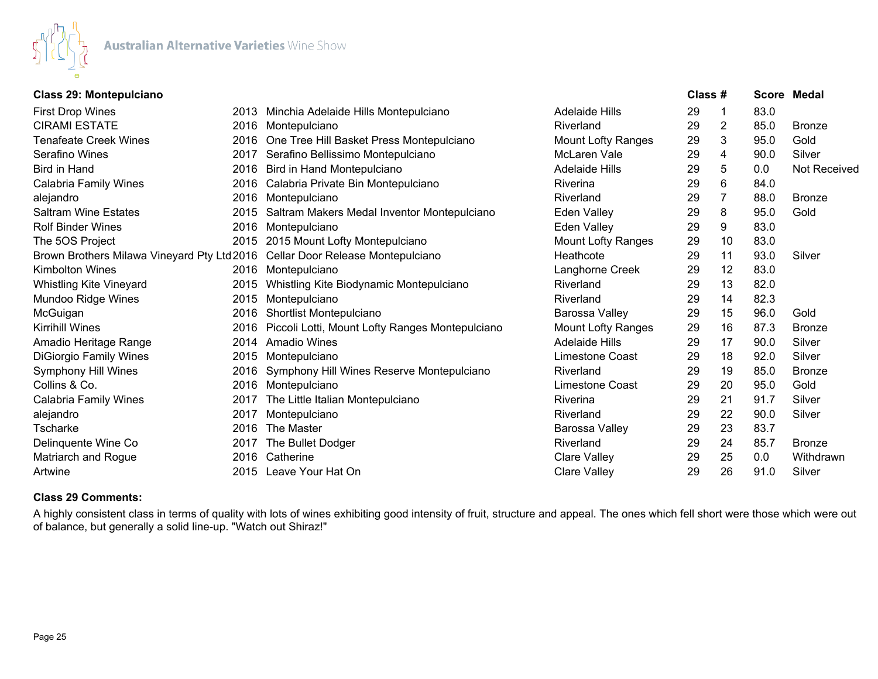

## **Class 29: Montepulciano Class # Score Medal**

| <b>First Drop Wines</b>                                                        |      | 2013 Minchia Adelaide Hills Montepulciano       | Adelaide Hills            | 29 |    | 83.0 |               |
|--------------------------------------------------------------------------------|------|-------------------------------------------------|---------------------------|----|----|------|---------------|
| <b>CIRAMI ESTATE</b>                                                           |      | 2016 Montepulciano                              | Riverland                 | 29 | 2  | 85.0 | <b>Bronze</b> |
| <b>Tenafeate Creek Wines</b>                                                   |      | 2016 One Tree Hill Basket Press Montepulciano   | <b>Mount Lofty Ranges</b> | 29 | 3  | 95.0 | Gold          |
| Serafino Wines                                                                 | 2017 | Serafino Bellissimo Montepulciano               | McLaren Vale              | 29 | 4  | 90.0 | Silver        |
| <b>Bird in Hand</b>                                                            | 2016 | Bird in Hand Montepulciano                      | <b>Adelaide Hills</b>     | 29 | 5  | 0.0  | Not Received  |
| Calabria Family Wines                                                          |      | 2016 Calabria Private Bin Montepulciano         | Riverina                  | 29 | 6  | 84.0 |               |
| alejandro                                                                      | 2016 | Montepulciano                                   | Riverland                 | 29 |    | 88.0 | <b>Bronze</b> |
| <b>Saltram Wine Estates</b>                                                    | 2015 | Saltram Makers Medal Inventor Montepulciano     | Eden Valley               | 29 | 8  | 95.0 | Gold          |
| <b>Rolf Binder Wines</b>                                                       |      | 2016 Montepulciano                              | Eden Valley               | 29 | 9  | 83.0 |               |
| The 5OS Project                                                                | 2015 | 2015 Mount Lofty Montepulciano                  | <b>Mount Lofty Ranges</b> | 29 | 10 | 83.0 |               |
| Brown Brothers Milawa Vineyard Pty Ltd 2016  Cellar Door Release Montepulciano |      |                                                 | Heathcote                 | 29 | 11 | 93.0 | Silver        |
| <b>Kimbolton Wines</b>                                                         | 2016 | Montepulciano                                   | Langhorne Creek           | 29 | 12 | 83.0 |               |
| Whistling Kite Vineyard                                                        | 2015 | Whistling Kite Biodynamic Montepulciano         | Riverland                 | 29 | 13 | 82.0 |               |
| Mundoo Ridge Wines                                                             | 2015 | Montepulciano                                   | Riverland                 | 29 | 14 | 82.3 |               |
| McGuigan                                                                       | 2016 | Shortlist Montepulciano                         | Barossa Valley            | 29 | 15 | 96.0 | Gold          |
| <b>Kirrihill Wines</b>                                                         | 2016 | Piccoli Lotti, Mount Lofty Ranges Montepulciano | <b>Mount Lofty Ranges</b> | 29 | 16 | 87.3 | <b>Bronze</b> |
| Amadio Heritage Range                                                          | 2014 | <b>Amadio Wines</b>                             | <b>Adelaide Hills</b>     | 29 | 17 | 90.0 | Silver        |
| <b>DiGiorgio Family Wines</b>                                                  | 2015 | Montepulciano                                   | Limestone Coast           | 29 | 18 | 92.0 | Silver        |
| Symphony Hill Wines                                                            | 2016 | Symphony Hill Wines Reserve Montepulciano       | Riverland                 | 29 | 19 | 85.0 | <b>Bronze</b> |
| Collins & Co.                                                                  | 2016 | Montepulciano                                   | Limestone Coast           | 29 | 20 | 95.0 | Gold          |
| Calabria Family Wines                                                          | 2017 | The Little Italian Montepulciano                | Riverina                  | 29 | 21 | 91.7 | Silver        |
| alejandro                                                                      | 2017 | Montepulciano                                   | Riverland                 | 29 | 22 | 90.0 | Silver        |
| Tscharke                                                                       | 2016 | The Master                                      | Barossa Valley            | 29 | 23 | 83.7 |               |
| Delinquente Wine Co                                                            | 2017 | The Bullet Dodger                               | Riverland                 | 29 | 24 | 85.7 | <b>Bronze</b> |
| Matriarch and Rogue                                                            | 2016 | Catherine                                       | Clare Valley              | 29 | 25 | 0.0  | Withdrawn     |
| Artwine                                                                        | 2015 | Leave Your Hat On                               | Clare Valley              | 29 | 26 | 91.0 | Silver        |

## **Class 29 Comments:**

A highly consistent class in terms of quality with lots of wines exhibiting good intensity of fruit, structure and appeal. The ones which fell short were those which were out of balance, but generally a solid line-up. "Watch out Shiraz!"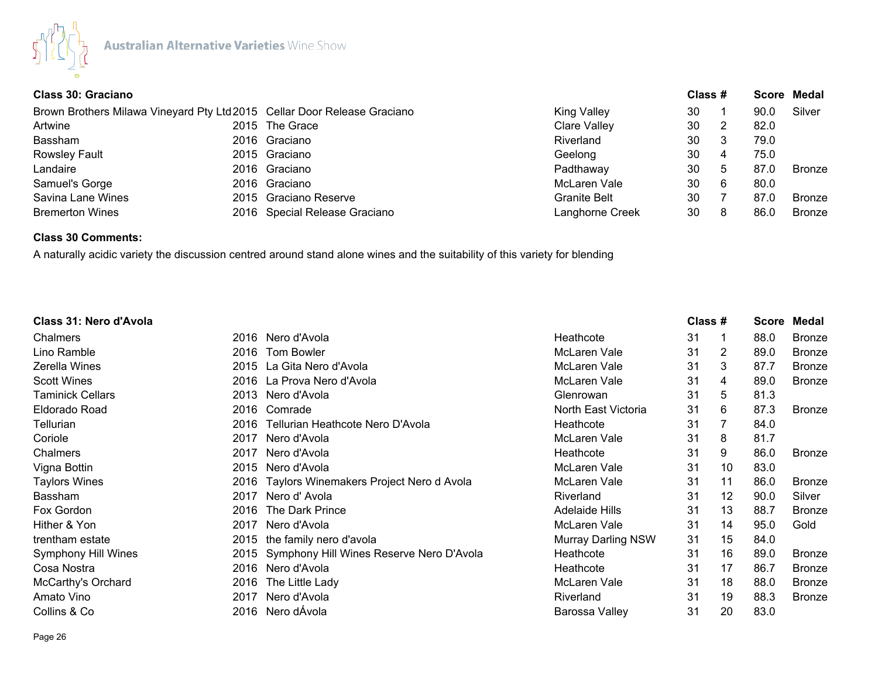

|  |                                                                                                                                                                                                                          | Class # |    |      | Score Medal   |
|--|--------------------------------------------------------------------------------------------------------------------------------------------------------------------------------------------------------------------------|---------|----|------|---------------|
|  | <b>King Valley</b>                                                                                                                                                                                                       | 30      |    | 90.0 | Silver        |
|  | Clare Valley                                                                                                                                                                                                             | 30      |    | 82.0 |               |
|  | Riverland                                                                                                                                                                                                                | 30      |    | 79.0 |               |
|  | Geelong                                                                                                                                                                                                                  | 30      | 4  | 75.0 |               |
|  | Padthaway                                                                                                                                                                                                                | 30      | 5  | 87.0 | <b>Bronze</b> |
|  | McLaren Vale                                                                                                                                                                                                             | 30      | -6 | 80.0 |               |
|  | <b>Granite Belt</b>                                                                                                                                                                                                      | 30      |    | 87.0 | <b>Bronze</b> |
|  | Langhorne Creek                                                                                                                                                                                                          | 30      | 8  | 86.0 | <b>Bronze</b> |
|  | Brown Brothers Milawa Vineyard Pty Ltd 2015 Cellar Door Release Graciano<br>2015 The Grace<br>2016 Graciano<br>2015 Graciano<br>2016 Graciano<br>2016 Graciano<br>2015 Graciano Reserve<br>2016 Special Release Graciano |         |    |      |               |

## **Class 30 Comments:**

A naturally acidic variety the discussion centred around stand alone wines and the suitability of this variety for blending

| Class 31: Nero d'Avola  |      |                                               |                           | Class # |    | <b>Score</b> | Medal         |
|-------------------------|------|-----------------------------------------------|---------------------------|---------|----|--------------|---------------|
| Chalmers                |      | 2016 Nero d'Avola                             | Heathcote                 | 31      | 1  | 88.0         | <b>Bronze</b> |
| Lino Ramble             | 2016 | <b>Tom Bowler</b>                             | McLaren Vale              | 31      | 2  | 89.0         | <b>Bronze</b> |
| Zerella Wines           |      | 2015 La Gita Nero d'Avola                     | McLaren Vale              | 31      | 3  | 87.7         | <b>Bronze</b> |
| <b>Scott Wines</b>      |      | 2016 La Prova Nero d'Avola                    | McLaren Vale              | 31      | 4  | 89.0         | <b>Bronze</b> |
| <b>Taminick Cellars</b> |      | 2013 Nero d'Avola                             | Glenrowan                 | 31      | 5  | 81.3         |               |
| Eldorado Road           |      | 2016 Comrade                                  | North East Victoria       | 31      | 6  | 87.3         | <b>Bronze</b> |
| Tellurian               | 2016 | Tellurian Heathcote Nero D'Avola              | Heathcote                 | 31      | 7  | 84.0         |               |
| Coriole                 | 2017 | Nero d'Avola                                  | McLaren Vale              | 31      | 8  | 81.7         |               |
| Chalmers                | 2017 | Nero d'Avola                                  | Heathcote                 | 31      | 9  | 86.0         | <b>Bronze</b> |
| Vigna Bottin            | 2015 | Nero d'Avola                                  | McLaren Vale              | 31      | 10 | 83.0         |               |
| <b>Taylors Wines</b>    |      | 2016 Taylors Winemakers Project Nero d Avola  | McLaren Vale              | 31      | 11 | 86.0         | <b>Bronze</b> |
| <b>Bassham</b>          | 2017 | Nero d'Avola                                  | Riverland                 | 31      | 12 | 90.0         | Silver        |
| Fox Gordon              | 2016 | The Dark Prince                               | <b>Adelaide Hills</b>     | 31      | 13 | 88.7         | <b>Bronze</b> |
| Hither & Yon            | 2017 | Nero d'Avola                                  | McLaren Vale              | 31      | 14 | 95.0         | Gold          |
| trentham estate         |      | 2015 the family nero d'avola                  | <b>Murray Darling NSW</b> | 31      | 15 | 84.0         |               |
| Symphony Hill Wines     |      | 2015 Symphony Hill Wines Reserve Nero D'Avola | Heathcote                 | 31      | 16 | 89.0         | <b>Bronze</b> |
| Cosa Nostra             |      | 2016 Nero d'Avola                             | Heathcote                 | 31      | 17 | 86.7         | <b>Bronze</b> |
| McCarthy's Orchard      | 2016 | The Little Lady                               | McLaren Vale              | 31      | 18 | 88.0         | <b>Bronze</b> |
| Amato Vino              | 2017 | Nero d'Avola                                  | Riverland                 | 31      | 19 | 88.3         | <b>Bronze</b> |
| Collins & Co            |      | 2016 Nero dÁvola                              | Barossa Valley            | 31      | 20 | 83.0         |               |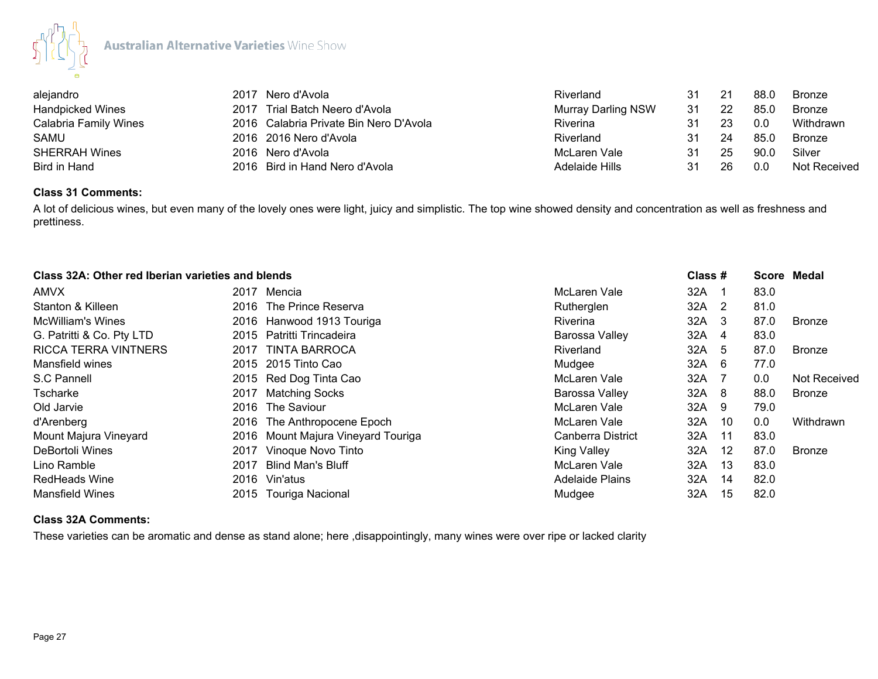

| alejandro               | Nero d'Avola<br>2017                   | Riverland                 | 31 | 21 | 88.0 | Bronze              |
|-------------------------|----------------------------------------|---------------------------|----|----|------|---------------------|
| <b>Handpicked Wines</b> | Trial Batch Neero d'Avola<br>2017      | <b>Murray Darling NSW</b> | 31 |    | 85.0 | Bronze              |
| Calabria Family Wines   | 2016 Calabria Private Bin Nero D'Avola | Riverina                  | 31 |    | 0.0  | Withdrawn           |
| SAMU                    | 2016 2016 Nero d'Avola                 | Riverland                 | 31 | 24 | 85.0 | Bronze              |
| <b>SHERRAH Wines</b>    | 2016 Nero d'Avola                      | McLaren Vale              | 31 | 25 | 90.0 | Silver              |
| Bird in Hand            | 2016 Bird in Hand Nero d'Avola         | Adelaide Hills            | 31 | 26 | 0.0  | <b>Not Received</b> |

## **Class 31 Comments:**

A lot of delicious wines, but even many of the lovely ones were light, juicy and simplistic. The top wine showed density and concentration as well as freshness and prettiness.

|                             | Class 32A: Other red Iberian varieties and blends |                        |     |    | Score Medal |               |
|-----------------------------|---------------------------------------------------|------------------------|-----|----|-------------|---------------|
| AMVX                        | Mencia<br>2017                                    | McLaren Vale           | 32A | -1 | 83.0        |               |
| Stanton & Killeen           | 2016 The Prince Reserva                           | Rutherglen             | 32A | 2  | 81.0        |               |
| McWilliam's Wines           | 2016 Hanwood 1913 Touriga                         | <b>Riverina</b>        | 32A | -3 | 87.0        | Bronze        |
| G. Patritti & Co. Pty LTD   | Patritti Trincadeira<br>2015                      | Barossa Valley         | 32A | 4  | 83.0        |               |
| <b>RICCA TERRA VINTNERS</b> | TINTA BARROCA<br>2017                             | Riverland              | 32A | 5  | 87.0        | Bronze        |
| Mansfield wines             | 2015 2015 Tinto Cao                               | Mudgee                 | 32A | -6 | 77.0        |               |
| S.C Pannell                 | 2015 Red Dog Tinta Cao                            | McLaren Vale           | 32A |    | 0.0         | Not Received  |
| Tscharke                    | <b>Matching Socks</b><br>2017                     | Barossa Valley         | 32A | 8  | 88.0        | <b>Bronze</b> |
| Old Jarvie                  | The Saviour<br>2016                               | McLaren Vale           | 32A | -9 | 79.0        |               |
| d'Arenberg                  | 2016 The Anthropocene Epoch                       | McLaren Vale           | 32A | 10 | 0.0         | Withdrawn     |
| Mount Majura Vineyard       | Mount Majura Vineyard Touriga<br>2016             | Canberra District      | 32A | 11 | 83.0        |               |
| DeBortoli Wines             | Vinoque Novo Tinto<br>2017                        | <b>King Valley</b>     | 32A | 12 | 87.0        | <b>Bronze</b> |
| Lino Ramble                 | <b>Blind Man's Bluff</b><br>2017                  | McLaren Vale           | 32A | 13 | 83.0        |               |
| <b>RedHeads Wine</b>        | 2016 Vin'atus                                     | <b>Adelaide Plains</b> | 32A | 14 | 82.0        |               |
| <b>Mansfield Wines</b>      | 2015 Touriga Nacional                             | Mudgee                 | 32A | 15 | 82.0        |               |

## **Class 32A Comments:**

These varieties can be aromatic and dense as stand alone; here ,disappointingly, many wines were over ripe or lacked clarity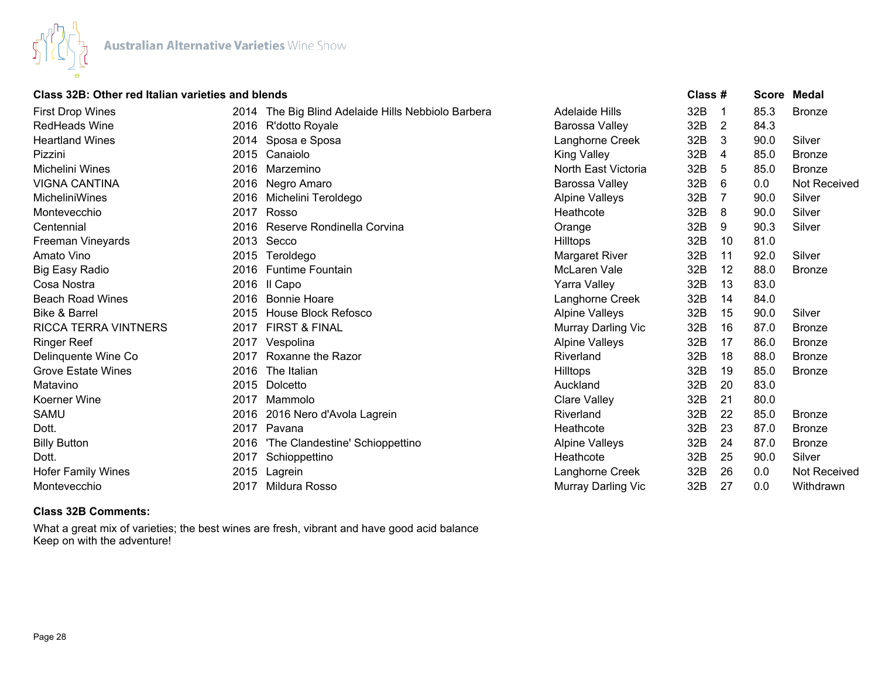

## **Class 32B: Other red Italian varieties and blends Class # Score Medal**

| <b>First Drop Wines</b>     |      | 2014 The Big Blind Adelaide Hills Nebbiolo Barbera | <b>Adelaide Hills</b>     | 32B | -1 | 85.3 | <b>Bronze</b> |
|-----------------------------|------|----------------------------------------------------|---------------------------|-----|----|------|---------------|
| <b>RedHeads Wine</b>        |      | 2016 R'dotto Royale                                | Barossa Valley            | 32B | 2  | 84.3 |               |
| <b>Heartland Wines</b>      | 2014 | Sposa e Sposa                                      | Langhorne Creek           | 32B | 3  | 90.0 | Silver        |
| Pizzini                     | 2015 | Canaiolo                                           | King Valley               | 32B | 4  | 85.0 | <b>Bronze</b> |
| Michelini Wines             | 2016 | Marzemino                                          | North East Victoria       | 32B | 5  | 85.0 | <b>Bronze</b> |
| <b>VIGNA CANTINA</b>        | 2016 | Negro Amaro                                        | Barossa Valley            | 32B | 6  | 0.0  | Not Received  |
| MicheliniWines              |      | 2016 Michelini Teroldego                           | <b>Alpine Valleys</b>     | 32B | 7  | 90.0 | Silver        |
| Montevecchio                | 2017 | Rosso                                              | Heathcote                 | 32B | 8  | 90.0 | Silver        |
| Centennial                  | 2016 | Reserve Rondinella Corvina                         | Orange                    | 32B | 9  | 90.3 | Silver        |
| Freeman Vineyards           |      | 2013 Secco                                         | <b>Hilltops</b>           | 32B | 10 | 81.0 |               |
| Amato Vino                  | 2015 | Teroldego                                          | Margaret River            | 32B | 11 | 92.0 | Silver        |
| <b>Big Easy Radio</b>       | 2016 | <b>Funtime Fountain</b>                            | McLaren Vale              | 32B | 12 | 88.0 | <b>Bronze</b> |
| Cosa Nostra                 |      | 2016 Il Capo                                       | Yarra Valley              | 32B | 13 | 83.0 |               |
| <b>Beach Road Wines</b>     | 2016 | <b>Bonnie Hoare</b>                                | Langhorne Creek           | 32B | 14 | 84.0 |               |
| <b>Bike &amp; Barrel</b>    | 2015 | <b>House Block Refosco</b>                         | <b>Alpine Valleys</b>     | 32B | 15 | 90.0 | Silver        |
| <b>RICCA TERRA VINTNERS</b> |      | 2017 FIRST & FINAL                                 | Murray Darling Vic        | 32B | 16 | 87.0 | <b>Bronze</b> |
| <b>Ringer Reef</b>          |      | 2017 Vespolina                                     | <b>Alpine Valleys</b>     | 32B | 17 | 86.0 | <b>Bronze</b> |
| Delinquente Wine Co         |      | 2017 Roxanne the Razor                             | Riverland                 | 32B | 18 | 88.0 | <b>Bronze</b> |
| <b>Grove Estate Wines</b>   | 2016 | The Italian                                        | Hilltops                  | 32B | 19 | 85.0 | <b>Bronze</b> |
| Matavino                    | 2015 | Dolcetto                                           | Auckland                  | 32B | 20 | 83.0 |               |
| Koerner Wine                | 2017 | Mammolo                                            | <b>Clare Valley</b>       | 32B | 21 | 80.0 |               |
| SAMU                        | 2016 | 2016 Nero d'Avola Lagrein                          | Riverland                 | 32B | 22 | 85.0 | <b>Bronze</b> |
| Dott.                       | 2017 | Pavana                                             | Heathcote                 | 32B | 23 | 87.0 | <b>Bronze</b> |
| <b>Billy Button</b>         | 2016 | 'The Clandestine' Schioppettino                    | <b>Alpine Valleys</b>     | 32B | 24 | 87.0 | <b>Bronze</b> |
| Dott.                       | 2017 | Schioppettino                                      | Heathcote                 | 32B | 25 | 90.0 | Silver        |
| <b>Hofer Family Wines</b>   | 2015 | Lagrein                                            | Langhorne Creek           | 32B | 26 | 0.0  | Not Received  |
| Montevecchio                | 2017 | Mildura Rosso                                      | <b>Murray Darling Vic</b> | 32B | 27 | 0.0  | Withdrawn     |

## **Class 32B Comments:**

What a great mix of varieties; the best wines are fresh, vibrant and have good acid balance Keep on with the adventure!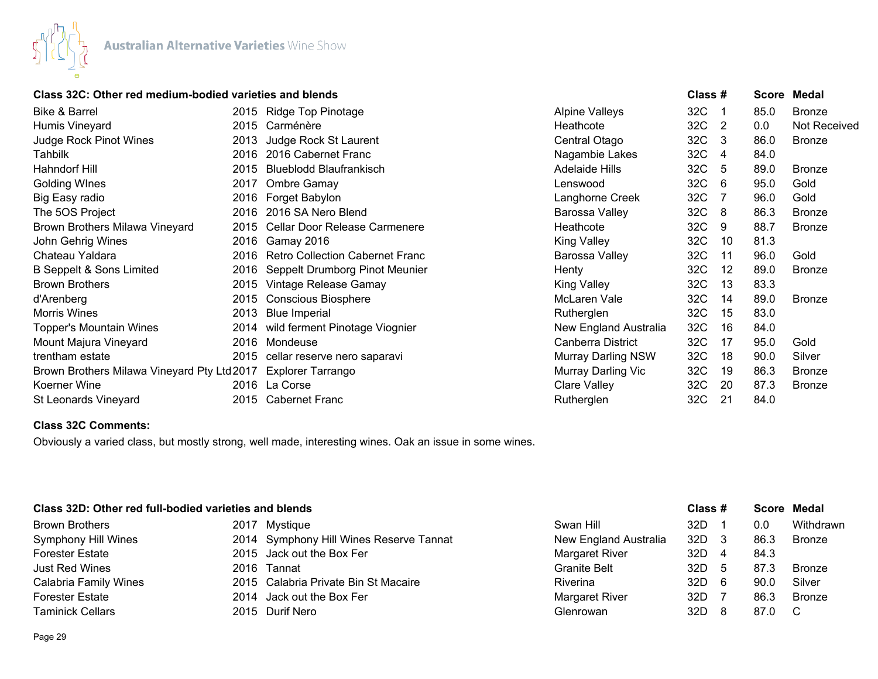

# **Class 32C: Other red medium-bodied varieties and blends Class # Score Medal**

| Bike & Barrel                              |      | 2015 Ridge Top Pinotage                | <b>Alpine Valleys</b>     | 32C |     | 85.0 | <b>Bronze</b> |
|--------------------------------------------|------|----------------------------------------|---------------------------|-----|-----|------|---------------|
| Humis Vineyard                             |      | 2015 Carménère                         | Heathcote                 | 32C | 2   | 0.0  | Not Received  |
| Judge Rock Pinot Wines                     | 2013 | Judge Rock St Laurent                  | Central Otago             | 32C | 3   | 86.0 | <b>Bronze</b> |
| Tahbilk                                    |      | 2016 2016 Cabernet Franc               | Nagambie Lakes            | 32C | 4   | 84.0 |               |
| Hahndorf Hill                              | 2015 | <b>Blueblodd Blaufrankisch</b>         | <b>Adelaide Hills</b>     | 32C | 5   | 89.0 | <b>Bronze</b> |
| <b>Golding WInes</b>                       | 2017 | Ombre Gamay                            | Lenswood                  | 32C | 6   | 95.0 | Gold          |
| Big Easy radio                             | 2016 | Forget Babylon                         | Langhorne Creek           | 32C |     | 96.0 | Gold          |
| The 5OS Project                            |      | 2016 2016 SA Nero Blend                | Barossa Valley            | 32C | 8   | 86.3 | <b>Bronze</b> |
| Brown Brothers Milawa Vineyard             | 2015 | Cellar Door Release Carmenere          | Heathcote                 | 32C | 9   | 88.7 | <b>Bronze</b> |
| John Gehrig Wines                          |      | 2016 Gamay 2016                        | <b>King Valley</b>        | 32C | 10  | 81.3 |               |
| Chateau Yaldara                            | 2016 | <b>Retro Collection Cabernet Franc</b> | Barossa Valley            | 32C | 11  | 96.0 | Gold          |
| <b>B Seppelt &amp; Sons Limited</b>        | 2016 | Seppelt Drumborg Pinot Meunier         | Henty                     | 32C | 12  | 89.0 | <b>Bronze</b> |
| <b>Brown Brothers</b>                      | 2015 | Vintage Release Gamay                  | King Valley               | 32C | 13  | 83.3 |               |
| d'Arenberg                                 | 2015 | <b>Conscious Biosphere</b>             | McLaren Vale              | 32C | 14  | 89.0 | <b>Bronze</b> |
| Morris Wines                               | 2013 | <b>Blue Imperial</b>                   | Rutherglen                | 32C | 15  | 83.0 |               |
| <b>Topper's Mountain Wines</b>             |      | 2014 wild ferment Pinotage Viognier    | New England Australia     | 32C | 16  | 84.0 |               |
| Mount Majura Vineyard                      |      | 2016 Mondeuse                          | Canberra District         | 32C | 17  | 95.0 | Gold          |
| trentham estate                            | 2015 | cellar reserve nero saparavi           | <b>Murray Darling NSW</b> | 32C | 18  | 90.0 | Silver        |
| Brown Brothers Milawa Vineyard Pty Ltd2017 |      | Explorer Tarrango                      | Murray Darling Vic        | 32C | 19  | 86.3 | <b>Bronze</b> |
| Koerner Wine                               |      | 2016 La Corse                          | Clare Valley              | 32C | -20 | 87.3 | <b>Bronze</b> |
| St Leonards Vineyard                       |      | 2015 Cabernet Franc                    | Rutherglen                | 32C | 21  | 84.0 |               |

# **Class 32C Comments:**

Obviously a varied class, but mostly strong, well made, interesting wines. Oak an issue in some wines.

# **Class 32D: Other red full-bodied varieties and blends Class # Score Medal**

| <b>Brown Brothers</b>        | 2017 Mystique                           | Swan Hill             | 32D   |    | 0.0    | Withdrawn     |
|------------------------------|-----------------------------------------|-----------------------|-------|----|--------|---------------|
| <b>Symphony Hill Wines</b>   | 2014 Symphony Hill Wines Reserve Tannat | New England Australia | 32D   |    | 86.3   | <b>Bronze</b> |
| <b>Forester Estate</b>       | 2015 Jack out the Box Fer               | Margaret River        | 32D   |    | 84.3   |               |
| Just Red Wines               | 2016 Tannat                             | <b>Granite Belt</b>   | 32D   |    | 87.3   | <b>Bronze</b> |
| <b>Calabria Family Wines</b> | 2015 Calabria Private Bin St Macaire    | <b>Riverina</b>       | 32D   | -6 | 90.C   | Silver        |
| <b>Forester Estate</b>       | 2014 Jack out the Box Fer               | Margaret River        | 32D   |    | 86.3   | <b>Bronze</b> |
| <b>Taminick Cellars</b>      | 2015 Durif Nero                         | Glenrowan             | 32D . |    | 87.0 C |               |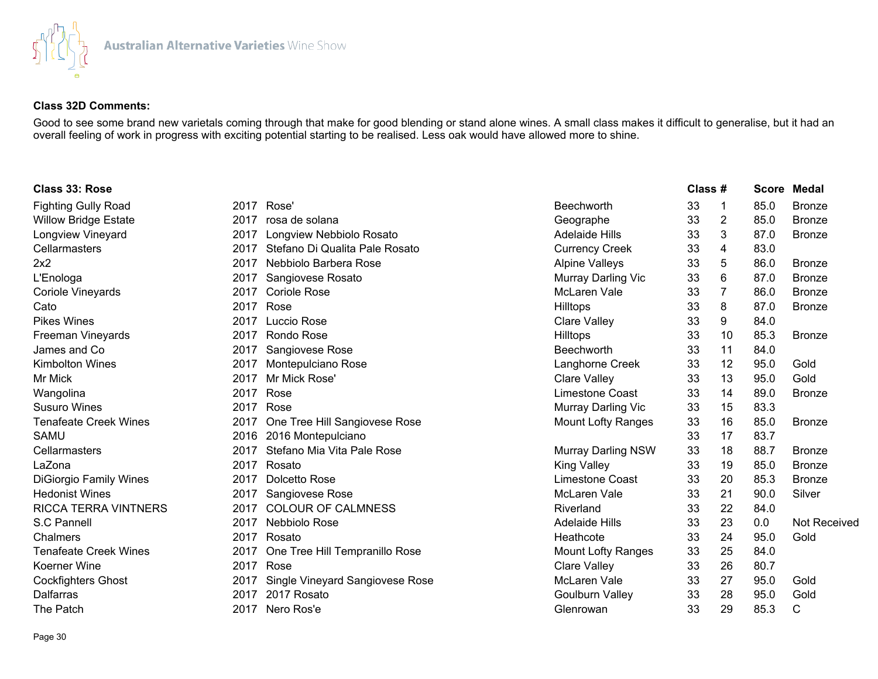

# **Class 32D Comments:**

Good to see some brand new varietals coming through that make for good blending or stand alone wines. A small class makes it difficult to generalise, but it had an overall feeling of work in progress with exciting potential starting to be realised. Less oak would have allowed more to shine.

| Class 33: Rose                |      |                                 |                           | Class # |                |      | <b>Score Medal</b> |
|-------------------------------|------|---------------------------------|---------------------------|---------|----------------|------|--------------------|
| <b>Fighting Gully Road</b>    |      | 2017 Rose'                      | <b>Beechworth</b>         | 33      | -1             | 85.0 | <b>Bronze</b>      |
| <b>Willow Bridge Estate</b>   | 2017 | rosa de solana                  | Geographe                 | 33      | $\overline{2}$ | 85.0 | <b>Bronze</b>      |
| Longview Vineyard             | 2017 | Longview Nebbiolo Rosato        | <b>Adelaide Hills</b>     | 33      | 3              | 87.0 | <b>Bronze</b>      |
| Cellarmasters                 | 2017 | Stefano Di Qualita Pale Rosato  | <b>Currency Creek</b>     | 33      | 4              | 83.0 |                    |
| 2x2                           | 2017 | Nebbiolo Barbera Rose           | <b>Alpine Valleys</b>     | 33      | 5              | 86.0 | <b>Bronze</b>      |
| L'Enologa                     | 2017 | Sangiovese Rosato               | Murray Darling Vic        | 33      | 6              | 87.0 | <b>Bronze</b>      |
| Coriole Vineyards             | 2017 | <b>Coriole Rose</b>             | <b>McLaren Vale</b>       | 33      | 7              | 86.0 | <b>Bronze</b>      |
| Cato                          | 2017 | Rose                            | Hilltops                  | 33      | 8              | 87.0 | <b>Bronze</b>      |
| <b>Pikes Wines</b>            | 2017 | Luccio Rose                     | <b>Clare Valley</b>       | 33      | 9              | 84.0 |                    |
| Freeman Vineyards             | 2017 | Rondo Rose                      | Hilltops                  | 33      | 10             | 85.3 | <b>Bronze</b>      |
| James and Co                  | 2017 | Sangiovese Rose                 | <b>Beechworth</b>         | 33      | 11             | 84.0 |                    |
| Kimbolton Wines               | 2017 | Montepulciano Rose              | Langhorne Creek           | 33      | 12             | 95.0 | Gold               |
| Mr Mick                       | 2017 | Mr Mick Rose'                   | <b>Clare Valley</b>       | 33      | 13             | 95.0 | Gold               |
| Wangolina                     | 2017 | Rose                            | Limestone Coast           | 33      | 14             | 89.0 | <b>Bronze</b>      |
| <b>Susuro Wines</b>           | 2017 | Rose                            | Murray Darling Vic        | 33      | 15             | 83.3 |                    |
| <b>Tenafeate Creek Wines</b>  | 2017 | One Tree Hill Sangiovese Rose   | <b>Mount Lofty Ranges</b> | 33      | 16             | 85.0 | <b>Bronze</b>      |
| SAMU                          | 2016 | 2016 Montepulciano              |                           | 33      | 17             | 83.7 |                    |
| Cellarmasters                 | 2017 | Stefano Mia Vita Pale Rose      | <b>Murray Darling NSW</b> | 33      | 18             | 88.7 | <b>Bronze</b>      |
| LaZona                        | 2017 | Rosato                          | <b>King Valley</b>        | 33      | 19             | 85.0 | <b>Bronze</b>      |
| <b>DiGiorgio Family Wines</b> | 2017 | Dolcetto Rose                   | <b>Limestone Coast</b>    | 33      | 20             | 85.3 | <b>Bronze</b>      |
| <b>Hedonist Wines</b>         | 2017 | Sangiovese Rose                 | <b>McLaren Vale</b>       | 33      | 21             | 90.0 | Silver             |
| <b>RICCA TERRA VINTNERS</b>   | 2017 | <b>COLOUR OF CALMNESS</b>       | Riverland                 | 33      | 22             | 84.0 |                    |
| S.C Pannell                   | 2017 | Nebbiolo Rose                   | <b>Adelaide Hills</b>     | 33      | 23             | 0.0  | Not Received       |
| Chalmers                      | 2017 | Rosato                          | Heathcote                 | 33      | 24             | 95.0 | Gold               |
| <b>Tenafeate Creek Wines</b>  | 2017 | One Tree Hill Tempranillo Rose  | <b>Mount Lofty Ranges</b> | 33      | 25             | 84.0 |                    |
| Koerner Wine                  | 2017 | Rose                            | <b>Clare Valley</b>       | 33      | 26             | 80.7 |                    |
| <b>Cockfighters Ghost</b>     | 2017 | Single Vineyard Sangiovese Rose | McLaren Vale              | 33      | 27             | 95.0 | Gold               |
| <b>Dalfarras</b>              | 2017 | 2017 Rosato                     | <b>Goulburn Valley</b>    | 33      | 28             | 95.0 | Gold               |
| The Patch                     | 2017 | Nero Ros'e                      | Glenrowan                 | 33      | 29             | 85.3 | C                  |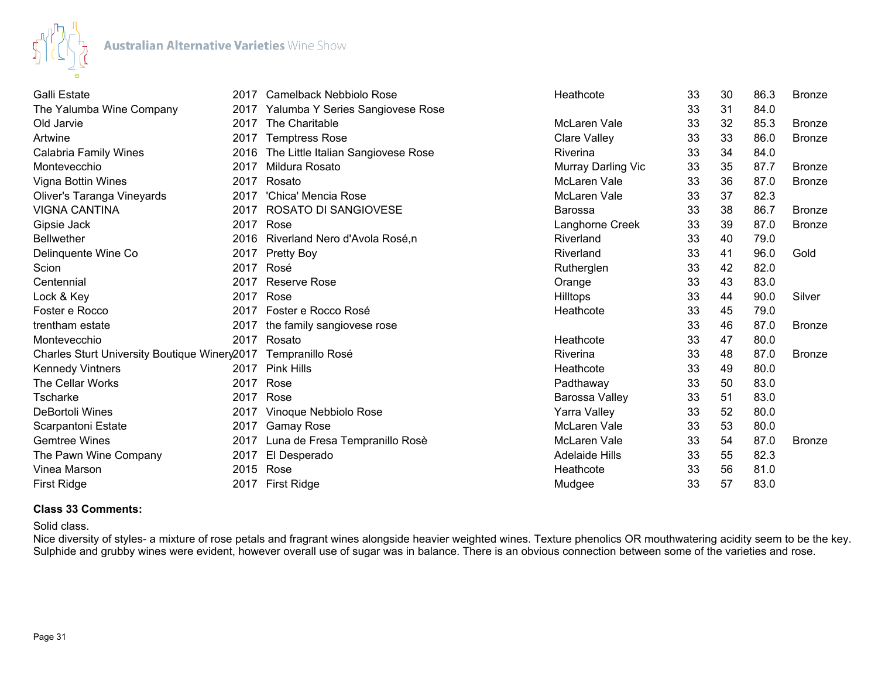

| Galli Estate                                 |      | 2017 Camelback Nebbiolo Rose       | Heathcote             | 33 | 30 | 86.3 | Bronze        |
|----------------------------------------------|------|------------------------------------|-----------------------|----|----|------|---------------|
| The Yalumba Wine Company                     | 2017 | Yalumba Y Series Sangiovese Rose   |                       | 33 | 31 | 84.0 |               |
| Old Jarvie                                   | 2017 | The Charitable                     | <b>McLaren Vale</b>   | 33 | 32 | 85.3 | <b>Bronze</b> |
| Artwine                                      | 2017 | <b>Temptress Rose</b>              | Clare Valley          | 33 | 33 | 86.0 | <b>Bronze</b> |
| Calabria Family Wines                        | 2016 | The Little Italian Sangiovese Rose | Riverina              | 33 | 34 | 84.0 |               |
| Montevecchio                                 | 2017 | Mildura Rosato                     | Murray Darling Vic    | 33 | 35 | 87.7 | <b>Bronze</b> |
| Vigna Bottin Wines                           | 2017 | Rosato                             | <b>McLaren Vale</b>   | 33 | 36 | 87.0 | <b>Bronze</b> |
| Oliver's Taranga Vineyards                   | 2017 | 'Chica' Mencia Rose                | <b>McLaren Vale</b>   | 33 | 37 | 82.3 |               |
| <b>VIGNA CANTINA</b>                         | 2017 | ROSATO DI SANGIOVESE               | <b>Barossa</b>        | 33 | 38 | 86.7 | <b>Bronze</b> |
| Gipsie Jack                                  | 2017 | Rose                               | Langhorne Creek       | 33 | 39 | 87.0 | <b>Bronze</b> |
| <b>Bellwether</b>                            | 2016 | Riverland Nero d'Avola Rosé,n      | Riverland             | 33 | 40 | 79.0 |               |
| Delinquente Wine Co                          | 2017 | <b>Pretty Boy</b>                  | Riverland             | 33 | 41 | 96.0 | Gold          |
| Scion                                        | 2017 | Rosé                               | Rutherglen            | 33 | 42 | 82.0 |               |
| Centennial                                   | 2017 | <b>Reserve Rose</b>                | Orange                | 33 | 43 | 83.0 |               |
| Lock & Key                                   | 2017 | Rose                               | Hilltops              | 33 | 44 | 90.0 | Silver        |
| Foster e Rocco                               | 2017 | Foster e Rocco Rosé                | Heathcote             | 33 | 45 | 79.0 |               |
| trentham estate                              | 2017 | the family sangiovese rose         |                       | 33 | 46 | 87.0 | <b>Bronze</b> |
| Montevecchio                                 | 2017 | Rosato                             | Heathcote             | 33 | 47 | 80.0 |               |
| Charles Sturt University Boutique Winery2017 |      | Tempranillo Rosé                   | Riverina              | 33 | 48 | 87.0 | <b>Bronze</b> |
| <b>Kennedy Vintners</b>                      | 2017 | Pink Hills                         | Heathcote             | 33 | 49 | 80.0 |               |
| The Cellar Works                             | 2017 | Rose                               | Padthaway             | 33 | 50 | 83.0 |               |
| Tscharke                                     | 2017 | Rose                               | Barossa Valley        | 33 | 51 | 83.0 |               |
| DeBortoli Wines                              | 2017 | Vinoque Nebbiolo Rose              | Yarra Valley          | 33 | 52 | 80.0 |               |
| Scarpantoni Estate                           | 2017 | <b>Gamay Rose</b>                  | <b>McLaren Vale</b>   | 33 | 53 | 80.0 |               |
| <b>Gemtree Wines</b>                         | 2017 | Luna de Fresa Tempranillo Rosè     | <b>McLaren Vale</b>   | 33 | 54 | 87.0 | <b>Bronze</b> |
| The Pawn Wine Company                        | 2017 | El Desperado                       | <b>Adelaide Hills</b> | 33 | 55 | 82.3 |               |
| Vinea Marson                                 | 2015 | Rose                               | Heathcote             | 33 | 56 | 81.0 |               |
| <b>First Ridge</b>                           | 2017 | <b>First Ridge</b>                 | Mudgee                | 33 | 57 | 83.0 |               |

#### **Class 33 Comments:**

Solid class.

Nice diversity of styles- a mixture of rose petals and fragrant wines alongside heavier weighted wines. Texture phenolics OR mouthwatering acidity seem to be the key. Sulphide and grubby wines were evident, however overall use of sugar was in balance. There is an obvious connection between some of the varieties and rose.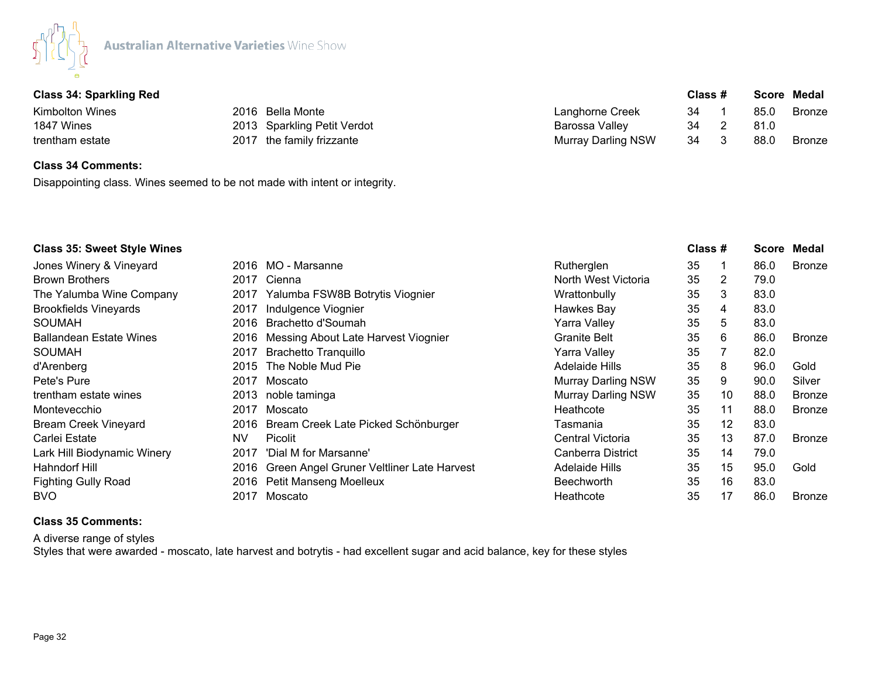

|  |  | <b>Class 34: Sparkling Red</b> |  |
|--|--|--------------------------------|--|
|--|--|--------------------------------|--|

| Class 34: Sparkling Red |                                                                              | Class # |  |      | Score Medal   |
|-------------------------|------------------------------------------------------------------------------|---------|--|------|---------------|
|                         | Langhorne Creek                                                              | 34      |  | 85.C | <b>Bronze</b> |
|                         | Barossa Valley                                                               | 34      |  | 81.0 |               |
|                         | <b>Murray Darling NSW</b>                                                    | 34      |  | 88.C | <b>Bronze</b> |
|                         | 2016 Bella Monte<br>2013 Sparkling Petit Verdot<br>2017 the family frizzante |         |  |      |               |

# **Class 34 Comments:**

Disappointing class. Wines seemed to be not made with intent or integrity.

| <b>Class 35: Sweet Style Wines</b> |           |                                           |                           | Class # |                   | Score | Medal         |
|------------------------------------|-----------|-------------------------------------------|---------------------------|---------|-------------------|-------|---------------|
| Jones Winery & Vineyard            |           | 2016 MO - Marsanne                        | Rutherglen                | 35      |                   | 86.0  | Bronze        |
| <b>Brown Brothers</b>              | 2017      | Cienna                                    | North West Victoria       | 35      | 2                 | 79.0  |               |
| The Yalumba Wine Company           | 2017      | Yalumba FSW8B Botrytis Viognier           | Wrattonbully              | 35      | 3                 | 83.0  |               |
| <b>Brookfields Vineyards</b>       | 2017      | Indulgence Viognier                       | Hawkes Bay                | 35      | 4                 | 83.0  |               |
| SOUMAH                             | 2016      | Brachetto d'Soumah                        | Yarra Valley              | 35      | 5                 | 83.0  |               |
| Ballandean Estate Wines            | 2016      | Messing About Late Harvest Viognier       | <b>Granite Belt</b>       | 35      | 6                 | 86.0  | <b>Bronze</b> |
| SOUMAH                             | 2017      | <b>Brachetto Tranquillo</b>               | Yarra Valley              | 35      |                   | 82.0  |               |
| d'Arenberg                         | 2015      | The Noble Mud Pie                         | Adelaide Hills            | 35      | 8                 | 96.0  | Gold          |
| Pete's Pure                        | 2017      | Moscato                                   | <b>Murray Darling NSW</b> | 35      | 9                 | 90.0  | Silver        |
| trentham estate wines              | 2013      | noble taminga                             | <b>Murray Darling NSW</b> | 35      | 10                | 88.0  | <b>Bronze</b> |
| Montevecchio                       | 2017      | Moscato                                   | Heathcote                 | 35      | 11                | 88.0  | <b>Bronze</b> |
| <b>Bream Creek Vineyard</b>        | 2016      | Bream Creek Late Picked Schönburger       | Tasmania                  | 35      | $12 \overline{ }$ | 83.0  |               |
| Carlei Estate                      | <b>NV</b> | Picolit                                   | Central Victoria          | 35      | 13                | 87.0  | <b>Bronze</b> |
| Lark Hill Biodynamic Winery        | 2017      | 'Dial M for Marsanne'                     | Canberra District         | 35      | 14                | 79.0  |               |
| Hahndorf Hill                      | 2016      | Green Angel Gruner Veltliner Late Harvest | Adelaide Hills            | 35      | 15                | 95.0  | Gold          |
| <b>Fighting Gully Road</b>         |           | 2016 Petit Manseng Moelleux               | <b>Beechworth</b>         | 35      | 16                | 83.0  |               |
| <b>BVO</b>                         | 2017      | Moscato                                   | Heathcote                 | 35      | 17                | 86.0  | <b>Bronze</b> |

## **Class 35 Comments:**

A diverse range of styles Styles that were awarded - moscato, late harvest and botrytis - had excellent sugar and acid balance, key for these styles